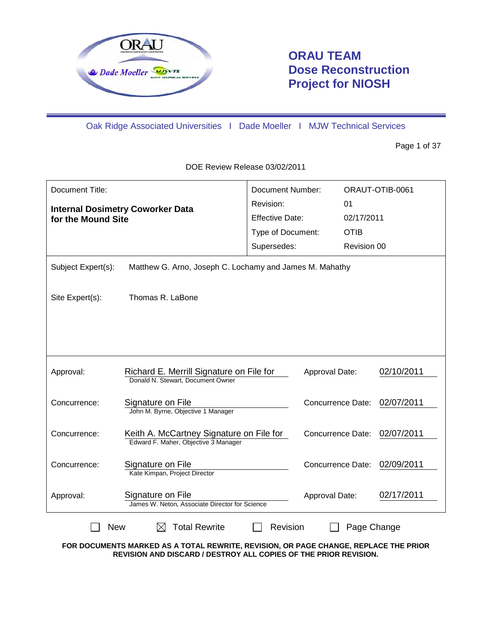

# **ORAU TEAM Dose Reconstruction Project for NIOSH**

Oak Ridge Associated Universities I Dade Moeller I MJW Technical Services

Page 1 of 37

DOE Review Release 03/02/2011

| Document Title:                                               |                                                                                  | <b>Document Number:</b> |                          |             | ORAUT-OTIB-0061                       |  |  |  |  |
|---------------------------------------------------------------|----------------------------------------------------------------------------------|-------------------------|--------------------------|-------------|---------------------------------------|--|--|--|--|
| <b>Internal Dosimetry Coworker Data</b><br>for the Mound Site |                                                                                  | Revision:               |                          | 01          |                                       |  |  |  |  |
|                                                               |                                                                                  | <b>Effective Date:</b>  |                          | 02/17/2011  |                                       |  |  |  |  |
|                                                               |                                                                                  | Type of Document:       |                          | <b>OTIB</b> |                                       |  |  |  |  |
|                                                               |                                                                                  | Supersedes:             |                          | Revision 00 |                                       |  |  |  |  |
| Subject Expert(s):                                            | Matthew G. Arno, Joseph C. Lochamy and James M. Mahathy                          |                         |                          |             |                                       |  |  |  |  |
| Site Expert(s):                                               | Thomas R. LaBone                                                                 |                         |                          |             |                                       |  |  |  |  |
|                                                               |                                                                                  |                         |                          |             |                                       |  |  |  |  |
|                                                               |                                                                                  |                         |                          |             |                                       |  |  |  |  |
| Approval:                                                     | Richard E. Merrill Signature on File for<br>Donald N. Stewart, Document Owner    |                         | Approval Date:           |             | 02/10/2011                            |  |  |  |  |
| Concurrence:                                                  | Signature on File<br>John M. Byrne, Objective 1 Manager                          |                         | Concurrence Date:        |             | 02/07/2011                            |  |  |  |  |
| Concurrence:                                                  | Keith A. McCartney Signature on File for<br>Edward F. Maher, Objective 3 Manager |                         | Concurrence Date:        |             | 02/07/2011                            |  |  |  |  |
| Concurrence:                                                  | Signature on File<br>Kate Kimpan, Project Director                               |                         | <b>Concurrence Date:</b> |             | 02/09/2011                            |  |  |  |  |
| Approval:                                                     | Signature on File<br>James W. Neton, Associate Director for Science              |                         | Approval Date:           |             | 02/17/2011                            |  |  |  |  |
|                                                               | <b>Total Rewrite</b><br>IXI                                                      |                         |                          |             | <b>New</b><br>Revision<br>Page Change |  |  |  |  |

**FOR DOCUMENTS MARKED AS A TOTAL REWRITE, REVISION, OR PAGE CHANGE, REPLACE THE PRIOR REVISION AND DISCARD / DESTROY ALL COPIES OF THE PRIOR REVISION.**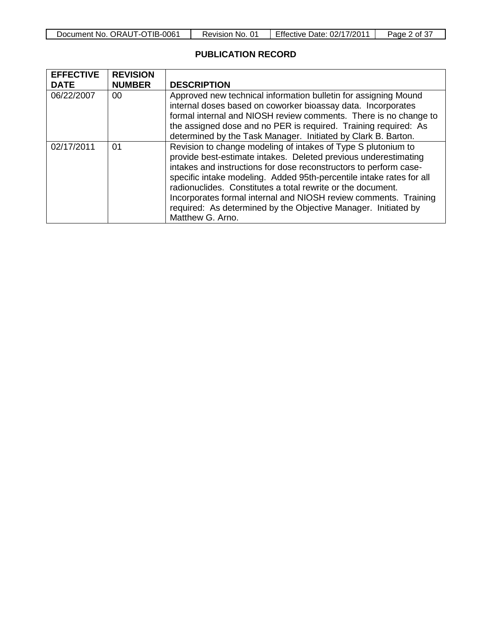| Document No. ORAUT-OTIB-0061 | Revision No. 01 | Effective Date: 02/17/2011 | Page 2 of 37 |
|------------------------------|-----------------|----------------------------|--------------|
|------------------------------|-----------------|----------------------------|--------------|

### **PUBLICATION RECORD**

| <b>EFFECTIVE</b><br><b>DATE</b> | <b>REVISION</b><br><b>NUMBER</b> | <b>DESCRIPTION</b>                                                                                                                                                                                                                                                                                                                                                                                                                                                                                     |
|---------------------------------|----------------------------------|--------------------------------------------------------------------------------------------------------------------------------------------------------------------------------------------------------------------------------------------------------------------------------------------------------------------------------------------------------------------------------------------------------------------------------------------------------------------------------------------------------|
| 06/22/2007                      | 00                               | Approved new technical information bulletin for assigning Mound<br>internal doses based on coworker bioassay data. Incorporates<br>formal internal and NIOSH review comments. There is no change to<br>the assigned dose and no PER is required. Training required: As<br>determined by the Task Manager. Initiated by Clark B. Barton.                                                                                                                                                                |
| 02/17/2011                      | 01                               | Revision to change modeling of intakes of Type S plutonium to<br>provide best-estimate intakes. Deleted previous underestimating<br>intakes and instructions for dose reconstructors to perform case-<br>specific intake modeling. Added 95th-percentile intake rates for all<br>radionuclides. Constitutes a total rewrite or the document.<br>Incorporates formal internal and NIOSH review comments. Training<br>required: As determined by the Objective Manager. Initiated by<br>Matthew G. Arno. |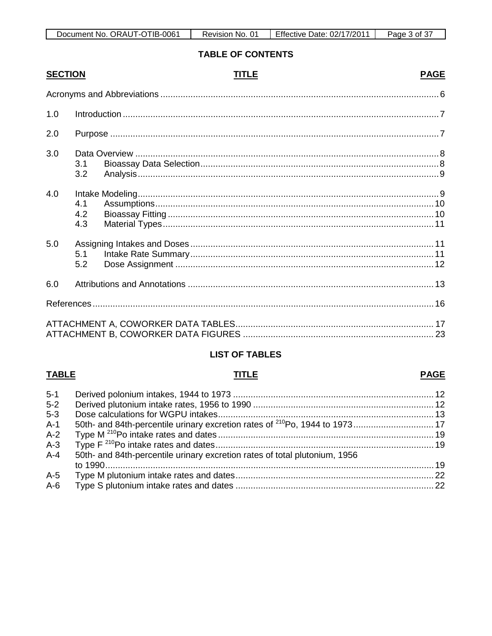| ORAUT-OTIB-0061 | No.       | Effective Date: 02/1 | ` of 3. |
|-----------------|-----------|----------------------|---------|
| Document No.    | Revision, | $17/201$ ,           | Page    |

# **TABLE OF CONTENTS**

| <b>SECTION</b> |                   | <b>TITLE</b> | <b>PAGE</b> |
|----------------|-------------------|--------------|-------------|
|                |                   |              |             |
| 1.0            |                   |              |             |
| 2.0            |                   |              |             |
| 3.0            | 3.1<br>3.2        |              |             |
| 4.0            | 4.1<br>4.2<br>4.3 |              |             |
| 5.0            | 5.1<br>5.2        |              |             |
| 6.0            |                   |              |             |
|                |                   |              |             |
|                |                   |              |             |

# **LIST OF TABLES**

# **TABLE**

# **TITLE**

## **PAGE**

| $5 - 1$ |                                                                            |  |
|---------|----------------------------------------------------------------------------|--|
| $5 - 2$ |                                                                            |  |
| $5 - 3$ |                                                                            |  |
| $A-1$   |                                                                            |  |
| $A-2$   |                                                                            |  |
| $A-3$   |                                                                            |  |
| $A - 4$ | 50th- and 84th-percentile urinary excretion rates of total plutonium, 1956 |  |
|         |                                                                            |  |
| $A-5$   |                                                                            |  |
| $A-6$   |                                                                            |  |
|         |                                                                            |  |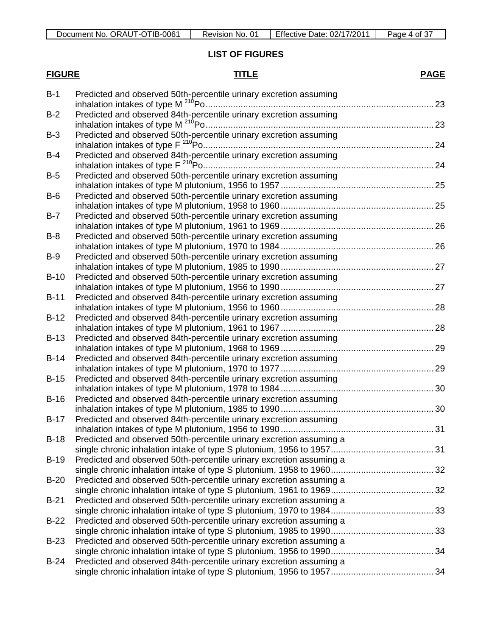| ' JT-(<br>ORAU<br>Document<br>'NO. | `ਾ।B-∟<br>0061<br>Revision | <b>Effective</b><br><b>No</b><br>◡ | 7/201<br>02/1<br>⊃ate: | Page<br>0t |
|------------------------------------|----------------------------|------------------------------------|------------------------|------------|

# **LIST OF FIGURES**

**FIGURE TITLE**

# **PAGE**

| $B-1$  | Predicted and observed 50th-percentile urinary excretion assuming   |  |
|--------|---------------------------------------------------------------------|--|
|        |                                                                     |  |
| $B-2$  | Predicted and observed 84th-percentile urinary excretion assuming   |  |
|        |                                                                     |  |
| $B-3$  | Predicted and observed 50th-percentile urinary excretion assuming   |  |
| $B-4$  |                                                                     |  |
|        | Predicted and observed 84th-percentile urinary excretion assuming   |  |
| $B-5$  | Predicted and observed 50th-percentile urinary excretion assuming   |  |
|        |                                                                     |  |
| $B-6$  | Predicted and observed 50th-percentile urinary excretion assuming   |  |
|        |                                                                     |  |
| $B-7$  | Predicted and observed 50th-percentile urinary excretion assuming   |  |
|        |                                                                     |  |
| $B-8$  | Predicted and observed 50th-percentile urinary excretion assuming   |  |
|        |                                                                     |  |
| $B-9$  | Predicted and observed 50th-percentile urinary excretion assuming   |  |
|        |                                                                     |  |
| $B-10$ | Predicted and observed 50th-percentile urinary excretion assuming   |  |
|        |                                                                     |  |
| $B-11$ | Predicted and observed 84th-percentile urinary excretion assuming   |  |
|        |                                                                     |  |
| $B-12$ | Predicted and observed 84th-percentile urinary excretion assuming   |  |
|        |                                                                     |  |
| $B-13$ | Predicted and observed 84th-percentile urinary excretion assuming   |  |
|        |                                                                     |  |
| $B-14$ | Predicted and observed 84th-percentile urinary excretion assuming   |  |
|        |                                                                     |  |
| $B-15$ | Predicted and observed 84th-percentile urinary excretion assuming   |  |
|        |                                                                     |  |
| $B-16$ | Predicted and observed 84th-percentile urinary excretion assuming   |  |
|        |                                                                     |  |
| $B-17$ | Predicted and observed 84th-percentile urinary excretion assuming   |  |
|        |                                                                     |  |
| $B-18$ | Predicted and observed 50th-percentile urinary excretion assuming a |  |
|        |                                                                     |  |
| $B-19$ | Predicted and observed 50th-percentile urinary excretion assuming a |  |
|        |                                                                     |  |
| $B-20$ | Predicted and observed 50th-percentile urinary excretion assuming a |  |
| $B-21$ |                                                                     |  |
|        | Predicted and observed 50th-percentile urinary excretion assuming a |  |
| $B-22$ | Predicted and observed 50th-percentile urinary excretion assuming a |  |
|        |                                                                     |  |
| $B-23$ | Predicted and observed 50th-percentile urinary excretion assuming a |  |
|        |                                                                     |  |
| $B-24$ | Predicted and observed 84th-percentile urinary excretion assuming a |  |
|        |                                                                     |  |
|        |                                                                     |  |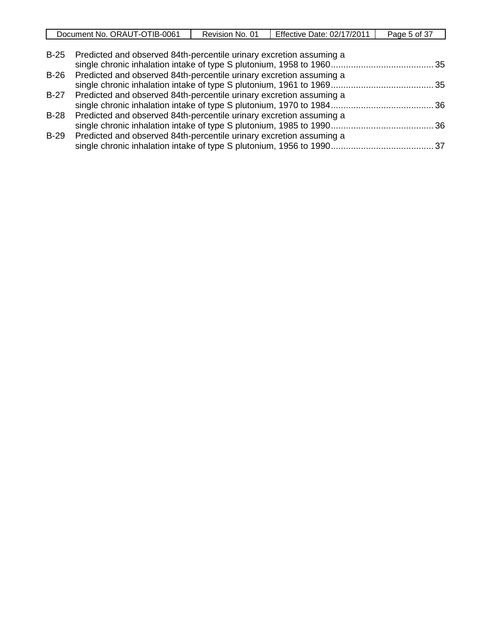| Document No. ORAUT-OTIB-0061 | ≅No.<br>Revision | Effective Date: 02/17/2011 | Page 5<br>of $31$ |
|------------------------------|------------------|----------------------------|-------------------|
|                              |                  |                            |                   |

| B-25 Predicted and observed 84th-percentile urinary excretion assuming a |  |
|--------------------------------------------------------------------------|--|
| B-26 Predicted and observed 84th-percentile urinary excretion assuming a |  |
|                                                                          |  |
| B-27 Predicted and observed 84th-percentile urinary excretion assuming a |  |
|                                                                          |  |
| B-28 Predicted and observed 84th-percentile urinary excretion assuming a |  |
|                                                                          |  |
| B-29 Predicted and observed 84th-percentile urinary excretion assuming a |  |
|                                                                          |  |
|                                                                          |  |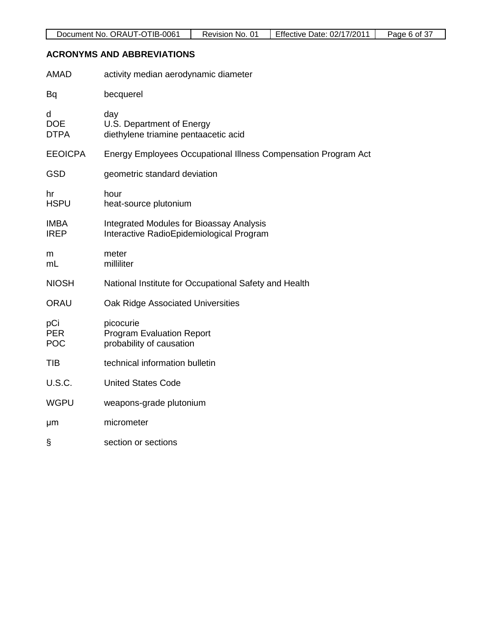# **ACRONYMS AND ABBREVIATIONS**

| <b>AMAD</b>                     | activity median aerodynamic diameter                                                        |
|---------------------------------|---------------------------------------------------------------------------------------------|
| Bq                              | becquerel                                                                                   |
| d<br><b>DOE</b><br><b>DTPA</b>  | day<br>U.S. Department of Energy<br>diethylene triamine pentaacetic acid                    |
| <b>EEOICPA</b>                  | Energy Employees Occupational Illness Compensation Program Act                              |
| <b>GSD</b>                      | geometric standard deviation                                                                |
| hr<br><b>HSPU</b>               | hour<br>heat-source plutonium                                                               |
| <b>IMBA</b><br><b>IREP</b>      | <b>Integrated Modules for Bioassay Analysis</b><br>Interactive RadioEpidemiological Program |
| m<br>mL                         | meter<br>milliliter                                                                         |
| <b>NIOSH</b>                    | National Institute for Occupational Safety and Health                                       |
| <b>ORAU</b>                     | Oak Ridge Associated Universities                                                           |
| pCi<br><b>PER</b><br><b>POC</b> | picocurie<br><b>Program Evaluation Report</b><br>probability of causation                   |
| <b>TIB</b>                      | technical information bulletin                                                              |
| <b>U.S.C.</b>                   | <b>United States Code</b>                                                                   |
| <b>WGPU</b>                     | weapons-grade plutonium                                                                     |
| μm                              | micrometer                                                                                  |
| §                               | section or sections                                                                         |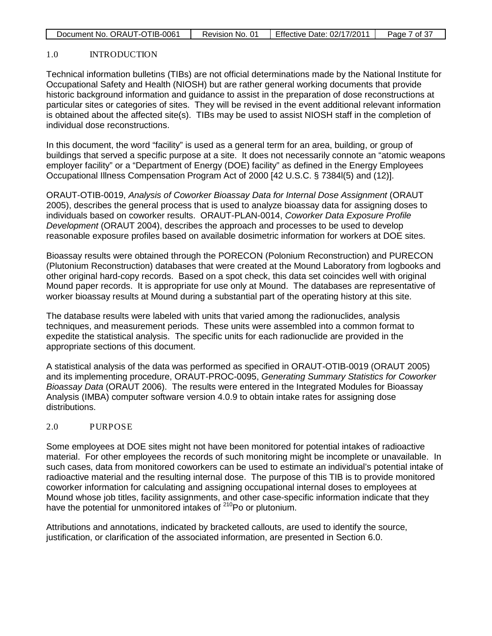| Document No. ORAUT-OTIB-0061 | Revision No. 01 | <b>Effective Date: 02/17/2011</b> | Page 7 of 37 |
|------------------------------|-----------------|-----------------------------------|--------------|
|                              |                 |                                   |              |

### 1.0 INTRODUCTION

Technical information bulletins (TIBs) are not official determinations made by the National Institute for Occupational Safety and Health (NIOSH) but are rather general working documents that provide historic background information and guidance to assist in the preparation of dose reconstructions at particular sites or categories of sites. They will be revised in the event additional relevant information is obtained about the affected site(s). TIBs may be used to assist NIOSH staff in the completion of individual dose reconstructions.

In this document, the word "facility" is used as a general term for an area, building, or group of buildings that served a specific purpose at a site. It does not necessarily connote an "atomic weapons employer facility" or a "Department of Energy (DOE) facility" as defined in the Energy Employees Occupational Illness Compensation Program Act of 2000 [42 U.S.C. § 7384l(5) and (12)].

ORAUT-OTIB-0019, *Analysis of Coworker Bioassay Data for Internal Dose Assignment* (ORAUT 2005), describes the general process that is used to analyze bioassay data for assigning doses to individuals based on coworker results. ORAUT-PLAN-0014, *Coworker Data Exposure Profile Development* (ORAUT 2004), describes the approach and processes to be used to develop reasonable exposure profiles based on available dosimetric information for workers at DOE sites.

Bioassay results were obtained through the PORECON (Polonium Reconstruction) and PURECON (Plutonium Reconstruction) databases that were created at the Mound Laboratory from logbooks and other original hard-copy records. Based on a spot check, this data set coincides well with original Mound paper records. It is appropriate for use only at Mound. The databases are representative of worker bioassay results at Mound during a substantial part of the operating history at this site.

The database results were labeled with units that varied among the radionuclides, analysis techniques, and measurement periods. These units were assembled into a common format to expedite the statistical analysis. The specific units for each radionuclide are provided in the appropriate sections of this document.

A statistical analysis of the data was performed as specified in ORAUT-OTIB-0019 (ORAUT 2005) and its implementing procedure, ORAUT-PROC-0095, *Generating Summary Statistics for Coworker Bioassay Data* (ORAUT 2006). The results were entered in the Integrated Modules for Bioassay Analysis (IMBA) computer software version 4.0.9 to obtain intake rates for assigning dose distributions.

### 2.0 PURPOSE

Some employees at DOE sites might not have been monitored for potential intakes of radioactive material. For other employees the records of such monitoring might be incomplete or unavailable. In such cases, data from monitored coworkers can be used to estimate an individual's potential intake of radioactive material and the resulting internal dose. The purpose of this TIB is to provide monitored coworker information for calculating and assigning occupational internal doses to employees at Mound whose job titles, facility assignments, and other case-specific information indicate that they have the potential for unmonitored intakes of <sup>210</sup>Po or plutonium.

Attributions and annotations, indicated by bracketed callouts, are used to identify the source, justification, or clarification of the associated information, are presented in Section 6.0.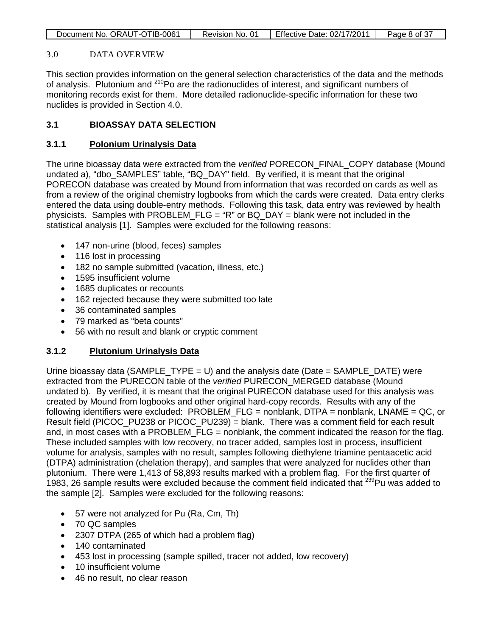| Document No. ORAUT-OTIB-0061 | Revision No. 01 | Effective Date: 02/17/2011 | Page 8 of 37 |
|------------------------------|-----------------|----------------------------|--------------|

### 3.0 DATA OVERVIEW

This section provides information on the general selection characteristics of the data and the methods of analysis. Plutonium and <sup>210</sup>Po are the radionuclides of interest, and significant numbers of monitoring records exist for them. More detailed radionuclide-specific information for these two nuclides is provided in Section 4.0.

### **3.1 BIOASSAY DATA SELECTION**

#### **3.1.1 Polonium Urinalysis Data**

The urine bioassay data were extracted from the *verified* PORECON\_FINAL\_COPY database (Mound undated a), "dbo\_SAMPLES" table, "BQ\_DAY" field. By verified, it is meant that the original PORECON database was created by Mound from information that was recorded on cards as well as from a review of the original chemistry logbooks from which the cards were created. Data entry clerks entered the data using double-entry methods. Following this task, data entry was reviewed by health physicists. Samples with PROBLEM  $FLG = "R"$  or BQ DAY = blank were not included in the statistical analysis [1]. Samples were excluded for the following reasons:

- 147 non-urine (blood, feces) samples
- 116 lost in processing
- 182 no sample submitted (vacation, illness, etc.)
- 1595 insufficient volume
- 1685 duplicates or recounts
- 162 rejected because they were submitted too late
- 36 contaminated samples
- 79 marked as "beta counts"
- 56 with no result and blank or cryptic comment

#### **3.1.2 Plutonium Urinalysis Data**

Urine bioassay data (SAMPLE  $TYPE = U$ ) and the analysis date (Date = SAMPLE DATE) were extracted from the PURECON table of the *verified* PURECON\_MERGED database (Mound undated b). By verified, it is meant that the original PURECON database used for this analysis was created by Mound from logbooks and other original hard-copy records. Results with any of the following identifiers were excluded: PROBLEM\_FLG = nonblank, DTPA = nonblank, LNAME = QC, or Result field (PICOC\_PU238 or PICOC\_PU239) = blank. There was a comment field for each result and, in most cases with a PROBLEM\_FLG = nonblank, the comment indicated the reason for the flag. These included samples with low recovery, no tracer added, samples lost in process, insufficient volume for analysis, samples with no result, samples following diethylene triamine pentaacetic acid (DTPA) administration (chelation therapy), and samples that were analyzed for nuclides other than plutonium. There were 1,413 of 58,893 results marked with a problem flag. For the first quarter of 1983, 26 sample results were excluded because the comment field indicated that <sup>239</sup>Pu was added to the sample [2]. Samples were excluded for the following reasons:

- 57 were not analyzed for Pu (Ra, Cm, Th)
- 70 QC samples
- 2307 DTPA (265 of which had a problem flag)
- 140 contaminated
- 453 lost in processing (sample spilled, tracer not added, low recovery)
- 10 insufficient volume
- 46 no result, no clear reason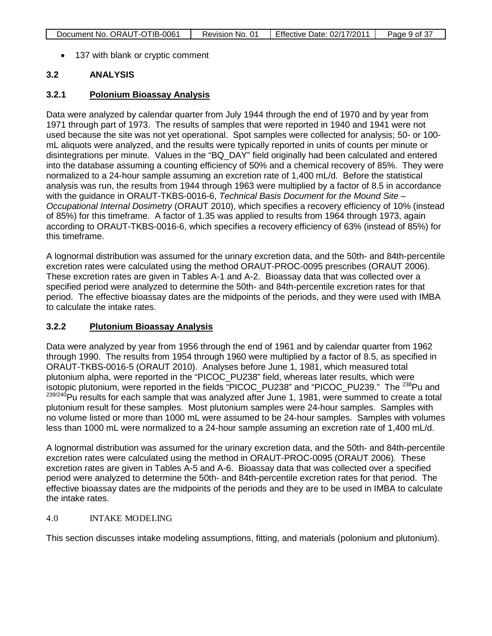137 with blank or cryptic comment

### **3.2 ANALYSIS**

#### **3.2.1 Polonium Bioassay Analysis**

Data were analyzed by calendar quarter from July 1944 through the end of 1970 and by year from 1971 through part of 1973. The results of samples that were reported in 1940 and 1941 were not used because the site was not yet operational. Spot samples were collected for analysis; 50- or 100 mL aliquots were analyzed, and the results were typically reported in units of counts per minute or disintegrations per minute. Values in the "BQ\_DAY" field originally had been calculated and entered into the database assuming a counting efficiency of 50% and a chemical recovery of 85%. They were normalized to a 24-hour sample assuming an excretion rate of 1,400 mL/d. Before the statistical analysis was run, the results from 1944 through 1963 were multiplied by a factor of 8.5 in accordance with the guidance in ORAUT-TKBS-0016-6, *Technical Basis Document for the Mound Site – Occupational Internal Dosimetry* (ORAUT 2010), which specifies a recovery efficiency of 10% (instead of 85%) for this timeframe. A factor of 1.35 was applied to results from 1964 through 1973, again according to ORAUT-TKBS-0016-6, which specifies a recovery efficiency of 63% (instead of 85%) for this timeframe.

A lognormal distribution was assumed for the urinary excretion data, and the 50th- and 84th-percentile excretion rates were calculated using the method ORAUT-PROC-0095 prescribes (ORAUT 2006). These excretion rates are given in Tables A-1 and A-2. Bioassay data that was collected over a specified period were analyzed to determine the 50th- and 84th-percentile excretion rates for that period. The effective bioassay dates are the midpoints of the periods, and they were used with IMBA to calculate the intake rates.

#### **3.2.2 Plutonium Bioassay Analysis**

Data were analyzed by year from 1956 through the end of 1961 and by calendar quarter from 1962 through 1990. The results from 1954 through 1960 were multiplied by a factor of 8.5, as specified in ORAUT-TKBS-0016-5 (ORAUT 2010). Analyses before June 1, 1981, which measured total plutonium alpha, were reported in the "PICOC\_PU238" field, whereas later results, which were isotopic plutonium, were reported in the fields "PICOC\_PU238" and "PICOC\_PU239." The <sup>238</sup>Pu and <sup>239/240</sup>Pu results for each sample that was analyzed after June 1, 1981, were summed to create a total plutonium result for these samples. Most plutonium samples were 24-hour samples. Samples with no volume listed or more than 1000 mL were assumed to be 24-hour samples. Samples with volumes less than 1000 mL were normalized to a 24-hour sample assuming an excretion rate of 1,400 mL/d.

A lognormal distribution was assumed for the urinary excretion data, and the 50th- and 84th-percentile excretion rates were calculated using the method in ORAUT-PROC-0095 (ORAUT 2006). These excretion rates are given in Tables A-5 and A-6. Bioassay data that was collected over a specified period were analyzed to determine the 50th- and 84th-percentile excretion rates for that period. The effective bioassay dates are the midpoints of the periods and they are to be used in IMBA to calculate the intake rates.

### 4.0 INTAKE MODELING

This section discusses intake modeling assumptions, fitting, and materials (polonium and plutonium).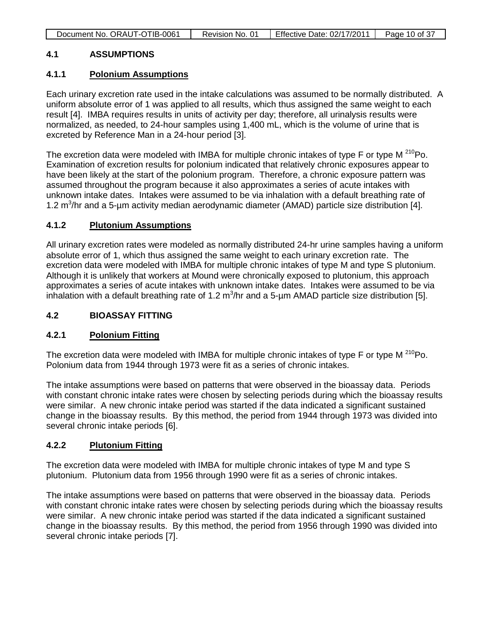| Document No. ORAUT-OTIB-0061 | Revision No. 01 | Effective Date: $02/17/2011$ | Page 10 of 37 |
|------------------------------|-----------------|------------------------------|---------------|
|                              |                 |                              |               |

### **4.1 ASSUMPTIONS**

#### **4.1.1 Polonium Assumptions**

Each urinary excretion rate used in the intake calculations was assumed to be normally distributed. A uniform absolute error of 1 was applied to all results, which thus assigned the same weight to each result [4]. IMBA requires results in units of activity per day; therefore, all urinalysis results were normalized, as needed, to 24-hour samples using 1,400 mL, which is the volume of urine that is excreted by Reference Man in a 24-hour period [3].

The excretion data were modeled with IMBA for multiple chronic intakes of type F or type M  $^{210}$ Po. Examination of excretion results for polonium indicated that relatively chronic exposures appear to have been likely at the start of the polonium program. Therefore, a chronic exposure pattern was assumed throughout the program because it also approximates a series of acute intakes with unknown intake dates. Intakes were assumed to be via inhalation with a default breathing rate of 1.2  $\text{m}^3$ /hr and a 5-µm activity median aerodynamic diameter (AMAD) particle size distribution [4].

#### **4.1.2 Plutonium Assumptions**

All urinary excretion rates were modeled as normally distributed 24-hr urine samples having a uniform absolute error of 1, which thus assigned the same weight to each urinary excretion rate. The excretion data were modeled with IMBA for multiple chronic intakes of type M and type S plutonium. Although it is unlikely that workers at Mound were chronically exposed to plutonium, this approach approximates a series of acute intakes with unknown intake dates. Intakes were assumed to be via inhalation with a default breathing rate of 1.2 m<sup>3</sup>/hr and a 5-µm AMAD particle size distribution [5].

### **4.2 BIOASSAY FITTING**

#### **4.2.1 Polonium Fitting**

The excretion data were modeled with IMBA for multiple chronic intakes of type F or type M  $^{210}$ Po. Polonium data from 1944 through 1973 were fit as a series of chronic intakes.

The intake assumptions were based on patterns that were observed in the bioassay data. Periods with constant chronic intake rates were chosen by selecting periods during which the bioassay results were similar. A new chronic intake period was started if the data indicated a significant sustained change in the bioassay results. By this method, the period from 1944 through 1973 was divided into several chronic intake periods [6].

#### **4.2.2 Plutonium Fitting**

The excretion data were modeled with IMBA for multiple chronic intakes of type M and type S plutonium. Plutonium data from 1956 through 1990 were fit as a series of chronic intakes.

The intake assumptions were based on patterns that were observed in the bioassay data. Periods with constant chronic intake rates were chosen by selecting periods during which the bioassay results were similar. A new chronic intake period was started if the data indicated a significant sustained change in the bioassay results. By this method, the period from 1956 through 1990 was divided into several chronic intake periods [7].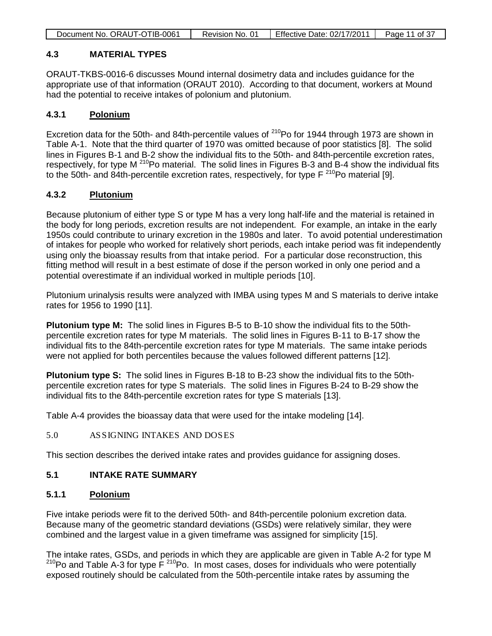| Document No. ORAUT-OTIB-0061 | Revision No. 01 | Effective Date: 02/17/2011 | Page 11 of 37 |
|------------------------------|-----------------|----------------------------|---------------|

### **4.3 MATERIAL TYPES**

ORAUT-TKBS-0016-6 discusses Mound internal dosimetry data and includes guidance for the appropriate use of that information (ORAUT 2010). According to that document, workers at Mound had the potential to receive intakes of polonium and plutonium.

#### **4.3.1 Polonium**

Excretion data for the 50th- and 84th-percentile values of <sup>210</sup>Po for 1944 through 1973 are shown in Table A-1. Note that the third quarter of 1970 was omitted because of poor statistics [8]. The solid lines in Figures B-1 and B-2 show the individual fits to the 50th- and 84th-percentile excretion rates, respectively, for type M<sup>210</sup>Po material. The solid lines in Figures B-3 and B-4 show the individual fits to the 50th- and 84th-percentile excretion rates, respectively, for type  $F^{210}Po$  material [9].

#### **4.3.2 Plutonium**

Because plutonium of either type S or type M has a very long half-life and the material is retained in the body for long periods, excretion results are not independent. For example, an intake in the early 1950s could contribute to urinary excretion in the 1980s and later. To avoid potential underestimation of intakes for people who worked for relatively short periods, each intake period was fit independently using only the bioassay results from that intake period. For a particular dose reconstruction, this fitting method will result in a best estimate of dose if the person worked in only one period and a potential overestimate if an individual worked in multiple periods [10].

Plutonium urinalysis results were analyzed with IMBA using types M and S materials to derive intake rates for 1956 to 1990 [11].

**Plutonium type M:** The solid lines in Figures B-5 to B-10 show the individual fits to the 50thpercentile excretion rates for type M materials. The solid lines in Figures B-11 to B-17 show the individual fits to the 84th-percentile excretion rates for type M materials. The same intake periods were not applied for both percentiles because the values followed different patterns [12].

**Plutonium type S:** The solid lines in Figures B-18 to B-23 show the individual fits to the 50thpercentile excretion rates for type S materials. The solid lines in Figures B-24 to B-29 show the individual fits to the 84th-percentile excretion rates for type S materials [13].

Table A-4 provides the bioassay data that were used for the intake modeling [14].

### 5.0 ASSIGNING INTAKES AND DOSES

This section describes the derived intake rates and provides guidance for assigning doses.

### **5.1 INTAKE RATE SUMMARY**

#### **5.1.1 Polonium**

Five intake periods were fit to the derived 50th- and 84th-percentile polonium excretion data. Because many of the geometric standard deviations (GSDs) were relatively similar, they were combined and the largest value in a given timeframe was assigned for simplicity [15].

The intake rates, GSDs, and periods in which they are applicable are given in Table A-2 for type M <sup>210</sup>Po and Table A-3 for type F<sup>210</sup>Po. In most cases, doses for individuals who were potentially exposed routinely should be calculated from the 50th-percentile intake rates by assuming the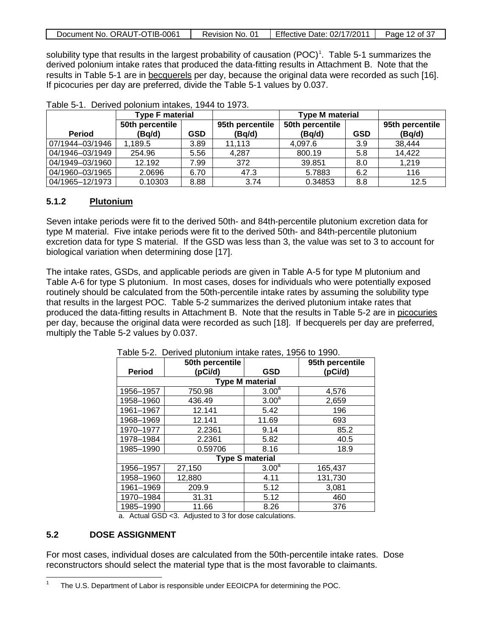| Document No. ORAUT-OTIB-0061 | Revision No. 01 | Effective Date: 02/17/2011 | Page 12 of 37 |
|------------------------------|-----------------|----------------------------|---------------|
|                              |                 |                            |               |

solubility type that results in the largest probability of causation  $(POC)^1$  $(POC)^1$ . Table 5-1 summarizes the derived polonium intake rates that produced the data-fitting results in Attachment B. Note that the results in Table 5-1 are in becquerels per day, because the original data were recorded as such [16]. If picocuries per day are preferred, divide the Table 5-1 values by 0.037.

|                 | <b>Type F material</b> |            |                 | <b>Type M material</b> |            |                 |
|-----------------|------------------------|------------|-----------------|------------------------|------------|-----------------|
|                 | 50th percentile        |            | 95th percentile | 50th percentile        |            | 95th percentile |
| <b>Period</b>   | (Bq/d)                 | <b>GSD</b> | (Bq/d)          | (Bq/d)                 | <b>GSD</b> | (Bq/d)          |
| 07/1944-03/1946 | 1,189.5                | 3.89       | 11,113          | 4,097.6                | 3.9        | 38,444          |
| 04/1946-03/1949 | 254.96                 | 5.56       | 4,287           | 800.19                 | 5.8        | 14,422          |
| 04/1949-03/1960 | 12.192                 | 7.99       | 372             | 39.851                 | 8.0        | 1,219           |
| 04/1960-03/1965 | 2.0696                 | 6.70       | 47.3            | 5.7883                 | 6.2        | 116             |
| 04/1965-12/1973 | 0.10303                | 8.88       | 3.74            | 0.34853                | 8.8        | 12.5            |

Table 5-1. Derived polonium intakes, 1944 to 1973.

#### **5.1.2 Plutonium**

Seven intake periods were fit to the derived 50th- and 84th-percentile plutonium excretion data for type M material. Five intake periods were fit to the derived 50th- and 84th-percentile plutonium excretion data for type S material. If the GSD was less than 3, the value was set to 3 to account for biological variation when determining dose [17].

The intake rates, GSDs, and applicable periods are given in Table A-5 for type M plutonium and Table A-6 for type S plutonium. In most cases, doses for individuals who were potentially exposed routinely should be calculated from the 50th-percentile intake rates by assuming the solubility type that results in the largest POC. Table 5-2 summarizes the derived plutonium intake rates that produced the data-fitting results in Attachment B. Note that the results in Table 5-2 are in picocuries per day, because the original data were recorded as such [18]. If becquerels per day are preferred, multiply the Table 5-2 values by 0.037.

|                        | 50th percentile |                        | 95th percentile |  |  |  |
|------------------------|-----------------|------------------------|-----------------|--|--|--|
| <b>Period</b>          | (pCi/d)         | <b>GSD</b>             | (pCi/d)         |  |  |  |
| <b>Type M material</b> |                 |                        |                 |  |  |  |
| 1956-1957              | 750.98          | 3.00 <sup>a</sup>      | 4,576           |  |  |  |
| 1958-1960              | 436.49          | 3.00 <sup>a</sup>      | 2,659           |  |  |  |
| 1961-1967              | 12.141          | 5.42                   | 196             |  |  |  |
| 1968-1969              | 12.141          | 11.69                  | 693             |  |  |  |
| 1970-1977              | 2.2361          | 9.14                   | 85.2            |  |  |  |
| 1978-1984              | 2.2361          | 5.82                   | 40.5            |  |  |  |
| 1985-1990              | 0.59706         | 8.16                   | 18.9            |  |  |  |
|                        |                 | <b>Type S material</b> |                 |  |  |  |
| 1956-1957              | 27,150          | 3.00 <sup>a</sup>      | 165,437         |  |  |  |
| 1958-1960              | 12,880          | 4.11                   | 131,730         |  |  |  |
| 1961-1969              | 209.9           | 5.12                   | 3,081           |  |  |  |
| 1970-1984              | 31.31           | 5.12                   | 460             |  |  |  |
| 1985-1990              | 11.66           | 8.26                   | 376             |  |  |  |

Table 5-2. Derived plutonium intake rates, 1956 to 1990.

a. Actual GSD <3. Adjusted to 3 for dose calculations.

### **5.2 DOSE ASSIGNMENT**

For most cases, individual doses are calculated from the 50th-percentile intake rates. Dose reconstructors should select the material type that is the most favorable to claimants.

<span id="page-11-0"></span> $\mathbf 1$ The U.S. Department of Labor is responsible under EEOICPA for determining the POC.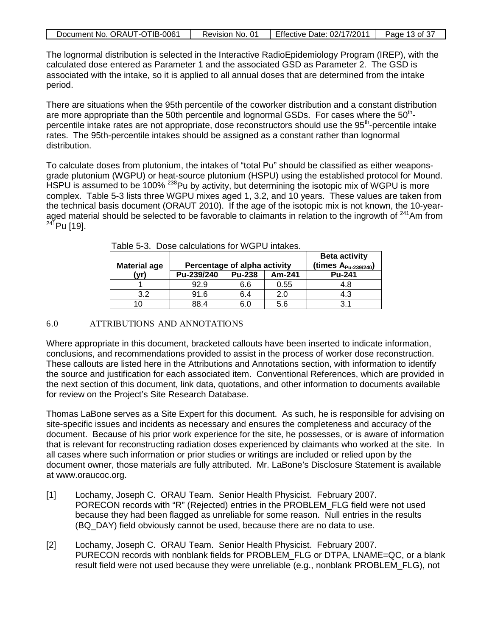| Document No. ORAUT-OTIB-0061 | Revision No. 01 | Effective Date: 02/17/2011   Page 13 of 37 |  |
|------------------------------|-----------------|--------------------------------------------|--|

The lognormal distribution is selected in the Interactive RadioEpidemiology Program (IREP), with the calculated dose entered as Parameter 1 and the associated GSD as Parameter 2. The GSD is associated with the intake, so it is applied to all annual doses that are determined from the intake period.

There are situations when the 95th percentile of the coworker distribution and a constant distribution are more appropriate than the 50th percentile and lognormal GSDs. For cases where the 50<sup>th</sup>percentile intake rates are not appropriate, dose reconstructors should use the 95<sup>th</sup>-percentile intake rates. The 95th-percentile intakes should be assigned as a constant rather than lognormal distribution.

To calculate doses from plutonium, the intakes of "total Pu" should be classified as either weaponsgrade plutonium (WGPU) or heat-source plutonium (HSPU) using the established protocol for Mound. HSPU is assumed to be 100% <sup>238</sup>Pu by activity, but determining the isotopic mix of WGPU is more complex. Table 5-3 lists three WGPU mixes aged 1, 3.2, and 10 years. These values are taken from the technical basis document (ORAUT 2010). If the age of the isotopic mix is not known, the 10-yearaged material should be selected to be favorable to claimants in relation to the ingrowth of <sup>241</sup>Am from  $^{241}$ Pu [19].

| <b>Material age</b> | Percentage of alpha activity |               |        | <b>Beta activity</b><br>(times $A_{Pu-239/240}$ ) |
|---------------------|------------------------------|---------------|--------|---------------------------------------------------|
| (vr)                | Pu-239/240                   | <b>Pu-238</b> | Am-241 | <b>Pu-241</b>                                     |
|                     | 92.9                         | 6.6           | 0.55   | 4.8                                               |
| 3.2                 | 91.6                         | 6.4           | 2.0    | 4.3                                               |
|                     | 88.4                         | 6.0           | 5.6    | 3.1                                               |

Table 5-3. Dose calculations for WGPU intakes.

### 6.0 ATTRIBUTIONS AND ANNOTATIONS

Where appropriate in this document, bracketed callouts have been inserted to indicate information, conclusions, and recommendations provided to assist in the process of worker dose reconstruction. These callouts are listed here in the Attributions and Annotations section, with information to identify the source and justification for each associated item. Conventional References, which are provided in the next section of this document, link data, quotations, and other information to documents available for review on the Project's Site Research Database.

Thomas LaBone serves as a Site Expert for this document. As such, he is responsible for advising on site-specific issues and incidents as necessary and ensures the completeness and accuracy of the document. Because of his prior work experience for the site, he possesses, or is aware of information that is relevant for reconstructing radiation doses experienced by claimants who worked at the site. In all cases where such information or prior studies or writings are included or relied upon by the document owner, those materials are fully attributed. Mr. LaBone's Disclosure Statement is available at www.oraucoc.org.

- [1] Lochamy, Joseph C. ORAU Team. Senior Health Physicist. February 2007. PORECON records with "R" (Rejected) entries in the PROBLEM\_FLG field were not used because they had been flagged as unreliable for some reason. Null entries in the results (BQ\_DAY) field obviously cannot be used, because there are no data to use.
- [2] Lochamy, Joseph C. ORAU Team. Senior Health Physicist. February 2007. PURECON records with nonblank fields for PROBLEM\_FLG or DTPA, LNAME=QC, or a blank result field were not used because they were unreliable (e.g., nonblank PROBLEM\_FLG), not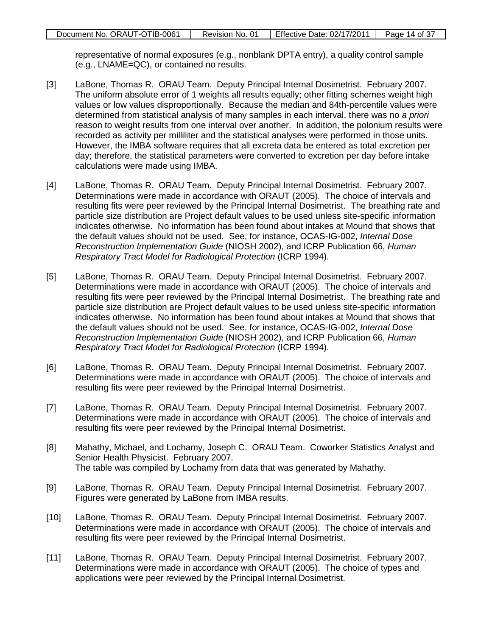|  | Document No. ORAUT-OTIB-0061 | Revision No. 01 | Effective Date: 02/17/2011 | Page 14 of 37 |
|--|------------------------------|-----------------|----------------------------|---------------|
|--|------------------------------|-----------------|----------------------------|---------------|

representative of normal exposures (e.g., nonblank DPTA entry), a quality control sample (e.g., LNAME=QC), or contained no results.

- [3] LaBone, Thomas R. ORAU Team. Deputy Principal Internal Dosimetrist. February 2007. The uniform absolute error of 1 weights all results equally; other fitting schemes weight high values or low values disproportionally. Because the median and 84th-percentile values were determined from statistical analysis of many samples in each interval, there was no *a priori* reason to weight results from one interval over another. In addition, the polonium results were recorded as activity per milliliter and the statistical analyses were performed in those units. However, the IMBA software requires that all excreta data be entered as total excretion per day; therefore, the statistical parameters were converted to excretion per day before intake calculations were made using IMBA.
- [4] LaBone, Thomas R. ORAU Team. Deputy Principal Internal Dosimetrist. February 2007. Determinations were made in accordance with ORAUT (2005). The choice of intervals and resulting fits were peer reviewed by the Principal Internal Dosimetrist. The breathing rate and particle size distribution are Project default values to be used unless site-specific information indicates otherwise. No information has been found about intakes at Mound that shows that the default values should not be used. See, for instance, OCAS-IG-002, *Internal Dose Reconstruction Implementation Guide* (NIOSH 2002), and ICRP Publication 66, *Human Respiratory Tract Model for Radiological Protection* (ICRP 1994).
- [5] LaBone, Thomas R. ORAU Team. Deputy Principal Internal Dosimetrist. February 2007. Determinations were made in accordance with ORAUT (2005). The choice of intervals and resulting fits were peer reviewed by the Principal Internal Dosimetrist. The breathing rate and particle size distribution are Project default values to be used unless site-specific information indicates otherwise. No information has been found about intakes at Mound that shows that the default values should not be used. See, for instance, OCAS-IG-002, *Internal Dose Reconstruction Implementation Guide* (NIOSH 2002), and ICRP Publication 66, *Human Respiratory Tract Model for Radiological Protection* (ICRP 1994).
- [6] LaBone, Thomas R. ORAU Team. Deputy Principal Internal Dosimetrist. February 2007. Determinations were made in accordance with ORAUT (2005). The choice of intervals and resulting fits were peer reviewed by the Principal Internal Dosimetrist.
- [7] LaBone, Thomas R. ORAU Team. Deputy Principal Internal Dosimetrist. February 2007. Determinations were made in accordance with ORAUT (2005). The choice of intervals and resulting fits were peer reviewed by the Principal Internal Dosimetrist.
- [8] Mahathy, Michael, and Lochamy, Joseph C. ORAU Team. Coworker Statistics Analyst and Senior Health Physicist. February 2007. The table was compiled by Lochamy from data that was generated by Mahathy.
- [9] LaBone, Thomas R. ORAU Team. Deputy Principal Internal Dosimetrist. February 2007. Figures were generated by LaBone from IMBA results.
- [10] LaBone, Thomas R. ORAU Team. Deputy Principal Internal Dosimetrist. February 2007. Determinations were made in accordance with ORAUT (2005). The choice of intervals and resulting fits were peer reviewed by the Principal Internal Dosimetrist.
- [11] LaBone, Thomas R. ORAU Team. Deputy Principal Internal Dosimetrist. February 2007. Determinations were made in accordance with ORAUT (2005). The choice of types and applications were peer reviewed by the Principal Internal Dosimetrist.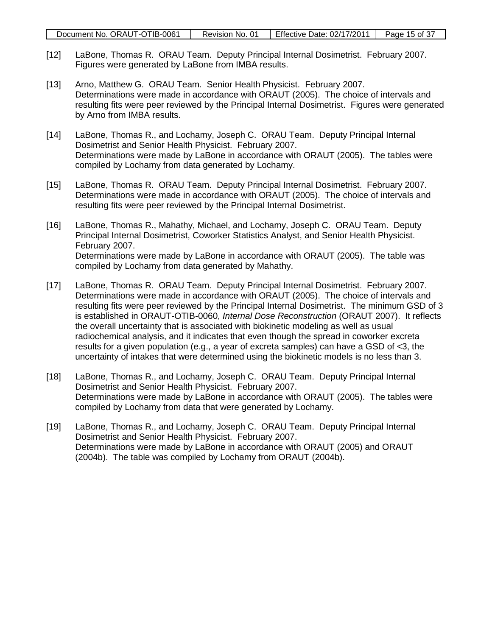| Document No. ORAUT-OTIB-0061 | Revision No. 01 | Effective Date: 02/17/2011 | Page 15 of 37 |
|------------------------------|-----------------|----------------------------|---------------|
|                              |                 |                            |               |

- [12] LaBone, Thomas R. ORAU Team. Deputy Principal Internal Dosimetrist. February 2007. Figures were generated by LaBone from IMBA results.
- [13] Arno, Matthew G. ORAU Team. Senior Health Physicist. February 2007. Determinations were made in accordance with ORAUT (2005). The choice of intervals and resulting fits were peer reviewed by the Principal Internal Dosimetrist. Figures were generated by Arno from IMBA results.
- [14] LaBone, Thomas R., and Lochamy, Joseph C. ORAU Team. Deputy Principal Internal Dosimetrist and Senior Health Physicist. February 2007. Determinations were made by LaBone in accordance with ORAUT (2005). The tables were compiled by Lochamy from data generated by Lochamy.
- [15] LaBone, Thomas R. ORAU Team. Deputy Principal Internal Dosimetrist. February 2007. Determinations were made in accordance with ORAUT (2005). The choice of intervals and resulting fits were peer reviewed by the Principal Internal Dosimetrist.
- [16] LaBone, Thomas R., Mahathy, Michael, and Lochamy, Joseph C. ORAU Team. Deputy Principal Internal Dosimetrist, Coworker Statistics Analyst, and Senior Health Physicist. February 2007. Determinations were made by LaBone in accordance with ORAUT (2005). The table was compiled by Lochamy from data generated by Mahathy.
- [17] LaBone, Thomas R. ORAU Team. Deputy Principal Internal Dosimetrist. February 2007. Determinations were made in accordance with ORAUT (2005). The choice of intervals and resulting fits were peer reviewed by the Principal Internal Dosimetrist. The minimum GSD of 3 is established in ORAUT-OTIB-0060, *Internal Dose Reconstruction* (ORAUT 2007). It reflects the overall uncertainty that is associated with biokinetic modeling as well as usual radiochemical analysis, and it indicates that even though the spread in coworker excreta results for a given population (e.g., a year of excreta samples) can have a GSD of <3, the uncertainty of intakes that were determined using the biokinetic models is no less than 3.
- [18] LaBone, Thomas R., and Lochamy, Joseph C. ORAU Team. Deputy Principal Internal Dosimetrist and Senior Health Physicist. February 2007. Determinations were made by LaBone in accordance with ORAUT (2005). The tables were compiled by Lochamy from data that were generated by Lochamy.
- [19] LaBone, Thomas R., and Lochamy, Joseph C. ORAU Team. Deputy Principal Internal Dosimetrist and Senior Health Physicist. February 2007. Determinations were made by LaBone in accordance with ORAUT (2005) and ORAUT (2004b). The table was compiled by Lochamy from ORAUT (2004b).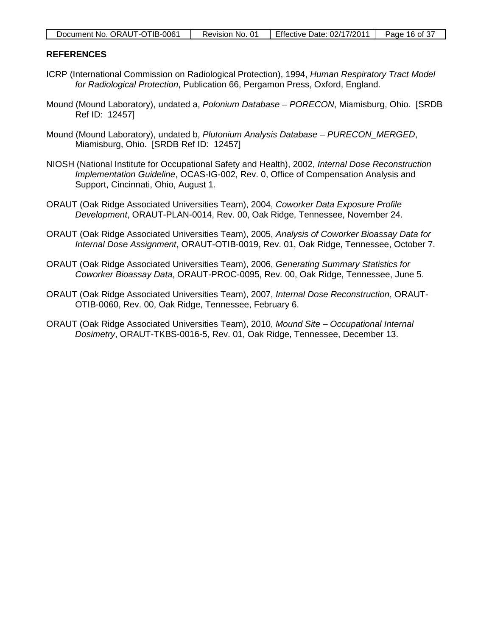| Document No. ORAUT-OTIB-0061 | Revision No. 01 | Effective Date: 02/17/2011   Page 16 of 37 |  |
|------------------------------|-----------------|--------------------------------------------|--|
|------------------------------|-----------------|--------------------------------------------|--|

### **REFERENCES**

- ICRP (International Commission on Radiological Protection), 1994, *Human Respiratory Tract Model for Radiological Protection*, Publication 66, Pergamon Press, Oxford, England.
- Mound (Mound Laboratory), undated a, *Polonium Database PORECON*, Miamisburg, Ohio. [SRDB Ref ID: 12457]
- Mound (Mound Laboratory), undated b, *Plutonium Analysis Database PURECON\_MERGED*, Miamisburg, Ohio. [SRDB Ref ID: 12457]
- NIOSH (National Institute for Occupational Safety and Health), 2002, *Internal Dose Reconstruction Implementation Guideline*, OCAS-IG-002, Rev. 0, Office of Compensation Analysis and Support, Cincinnati, Ohio, August 1.
- ORAUT (Oak Ridge Associated Universities Team), 2004, *Coworker Data Exposure Profile Development*, ORAUT-PLAN-0014, Rev. 00, Oak Ridge, Tennessee, November 24.
- ORAUT (Oak Ridge Associated Universities Team), 2005, *Analysis of Coworker Bioassay Data for Internal Dose Assignment*, ORAUT-OTIB-0019, Rev. 01, Oak Ridge, Tennessee, October 7.
- ORAUT (Oak Ridge Associated Universities Team), 2006, *Generating Summary Statistics for Coworker Bioassay Data*, ORAUT-PROC-0095, Rev. 00, Oak Ridge, Tennessee, June 5.
- ORAUT (Oak Ridge Associated Universities Team), 2007, *Internal Dose Reconstruction*, ORAUT-OTIB-0060, Rev. 00, Oak Ridge, Tennessee, February 6.
- ORAUT (Oak Ridge Associated Universities Team), 2010, *Mound Site Occupational Internal Dosimetry*, ORAUT-TKBS-0016-5, Rev. 01, Oak Ridge, Tennessee, December 13.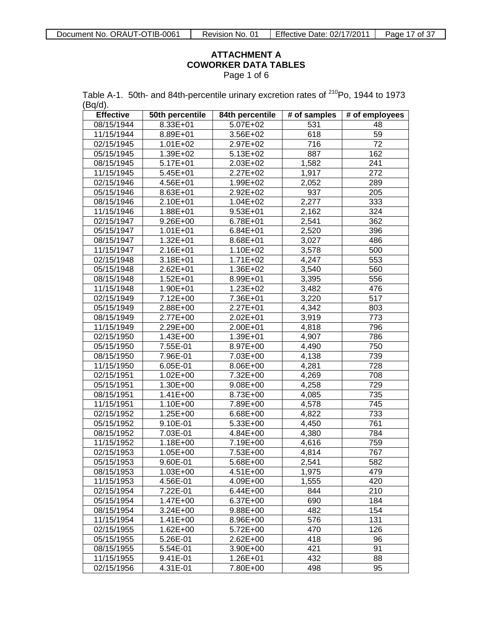Page 1 of 6

<span id="page-16-0"></span>

|         | Table A-1. 50th- and 84th-percentile urinary excretion rates of <sup>210</sup> Po, 1944 to 1973 |  |
|---------|-------------------------------------------------------------------------------------------------|--|
| (Bq/d). |                                                                                                 |  |

| <b>Effective</b> | 50th percentile | 84th percentile | # of samples | # of employees  |
|------------------|-----------------|-----------------|--------------|-----------------|
| 08/15/1944       | 8.33E+01        | 5.07E+02        | 531          | 48              |
| 11/15/1944       | 8.89E+01        | 3.56E+02        | 618          | 59              |
| 02/15/1945       | $1.01E + 02$    | 2.97E+02        | 716          | $\overline{72}$ |
| 05/15/1945       | 1.39E+02        | $5.13E + 02$    | 887          | 162             |
| 08/15/1945       | $5.17E + 01$    | 2.03E+02        | 1,582        | 241             |
| 11/15/1945       | 5.45E+01        | 2.27E+02        | 1,917        | 272             |
| 02/15/1946       | 4.56E+01        | 1.99E+02        | 2,052        | 289             |
| 05/15/1946       | 8.63E+01        | 2.92E+02        | 937          | 205             |
| 08/15/1946       | 2.10E+01        | $1.04E + 02$    | 2,277        | 333             |
| 11/15/1946       | 1.88E+01        | $9.53E + 01$    | 2,162        | 324             |
| 02/15/1947       | 9.26E+00        | 6.78E+01        | 2,541        | 362             |
| 05/15/1947       | $1.01E + 01$    | 6.84E+01        | 2,520        | 396             |
| 08/15/1947       | 1.32E+01        | 8.68E+01        | 3,027        | 486             |
| 11/15/1947       | 2.16E+01        | 1.10E+02        | 3,578        | 500             |
| 02/15/1948       | 3.18E+01        | $1.71E + 02$    | 4,247        | 553             |
| 05/15/1948       | 2.62E+01        | 1.36E+02        | 3,540        | 560             |
| 08/15/1948       | $1.52E + 01$    | 8.99E+01        | 3,395        | 556             |
| 11/15/1948       | 1.90E+01        | 1.23E+02        | 3,482        | 476             |
| 02/15/1949       | 7.12E+00        | 7.36E+01        | 3,220        | 517             |
| 05/15/1949       | 2.88E+00        | 2.27E+01        | 4,342        | 803             |
| 08/15/1949       | 2.77E+00        | 2.02E+01        | 3,919        | 773             |
| 11/15/1949       | 2.29E+00        | 2.00E+01        | 4,818        | 796             |
| 02/15/1950       | 1.43E+00        | 1.39E+01        | 4,907        | 786             |
| 05/15/1950       | 7.55E-01        | 8.97E+00        | 4,490        | 750             |
| 08/15/1950       | 7.96E-01        | 7.03E+00        | 4,138        | 739             |
| 11/15/1950       | 6.05E-01        | 8.06E+00        | 4,281        | 728             |
| 02/15/1951       | $1.02E + 00$    | 7.32E+00        | 4,269        | 708             |
| 05/15/1951       | 1.30E+00        | 9.08E+00        | 4,258        | 729             |
| 08/15/1951       | $1.41E + 00$    | 8.73E+00        | 4,085        | 735             |
| 11/15/1951       | 1.10E+00        | 7.89E+00        | 4,578        | 745             |
| 02/15/1952       | 1.25E+00        | 6.68E+00        | 4,822        | 733             |
| 05/15/1952       | 9.10E-01        | 5.33E+00        | 4,450        | 761             |
| 08/15/1952       | 7.03E-01        | 4.84E+00        | 4,380        | 784             |
| 11/15/1952       | 1.18E+00        | 7.19E+00        | 4,616        | 759             |
| 02/15/1953       | 1.05E+00        | 7.53E+00        | 4,814        | 767             |
| 05/15/1953       | 9.60E-01        | 5.68E+00        | 2,541        | 582             |
| 08/15/1953       | 1.03E+00        | $4.51E + 00$    | 1,975        | 479             |
| 11/15/1953       | 4.56E-01        | 4.09E+00        | 1,555        | 420             |
| 02/15/1954       | 7.22E-01        | $6.44E + 00$    | 844          | 210             |
| 05/15/1954       | 1.47E+00        | 6.37E+00        | 690          | 184             |
| 08/15/1954       | $3.24E + 00$    | 9.88E+00        | 482          | 154             |
| 11/15/1954       | $1.41E + 00$    | 8.96E+00        | 576          | 131             |
| 02/15/1955       | 1.62E+00        | 5.72E+00        | 470          | 126             |
| 05/15/1955       | 5.26E-01        | 2.62E+00        | 418          | 96              |
| 08/15/1955       | 5.54E-01        | 3.90E+00        | 421          | 91              |
| 11/15/1955       | 9.41E-01        | 1.26E+01        | 432          | 88              |
| 02/15/1956       | 4.31E-01        | 7.80E+00        | 498          | 95              |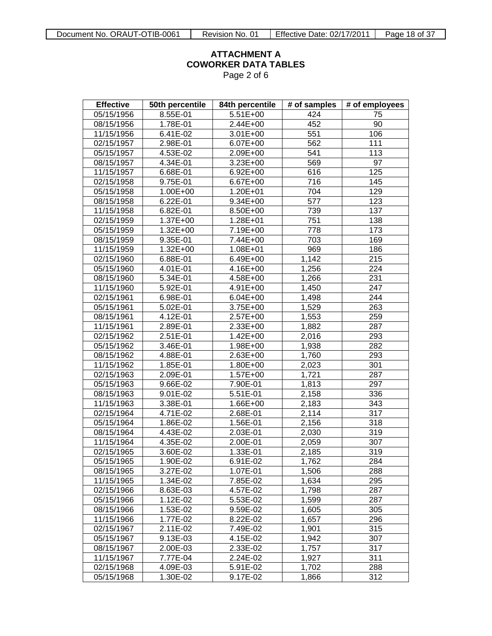Page 2 of 6

| <b>Effective</b> | 50th percentile | 84th percentile | # of samples         | # of employees    |
|------------------|-----------------|-----------------|----------------------|-------------------|
| 05/15/1956       | 8.55E-01        | $5.51E+00$      | 424                  | 75                |
| 08/15/1956       | 1.78E-01        | 2.44E+00        | 452                  | 90                |
| 11/15/1956       | 6.41E-02        | $3.01E + 00$    | 551                  | 106               |
| 02/15/1957       | 2.98E-01        | 6.07E+00        | 562                  | 111               |
| 05/15/1957       | 4.53E-02        | 2.09E+00        | 541                  | 113               |
| 08/15/1957       | 4.34E-01        | 3.23E+00        | 569                  | 97                |
| 11/15/1957       | 6.68E-01        | 6.92E+00        | 616                  | 125               |
| 02/15/1958       | 9.75E-01        | 6.67E+00        | 716                  | 145               |
| 05/15/1958       | $1.00E + 00$    | 1.20E+01        | 704                  | 129               |
| 08/15/1958       | 6.22E-01        | 9.34E+00        | 577                  | 123               |
| 11/15/1958       | 6.82E-01        | 8.50E+00        | 739                  | 137               |
| 02/15/1959       | 1.37E+00        | $1.28E + 01$    | 751                  | 138               |
| 05/15/1959       | $1.32E + 00$    | 7.19E+00        | 778                  | 173               |
| 08/15/1959       | $9.35E-01$      | 7.44E+00        | 703                  | 169               |
| 11/15/1959       | $1.32E + 00$    | 1.08E+01        | 969                  | 186               |
| 02/15/1960       | 6.88E-01        | 6.49E+00        | 1,142                | 215               |
| 05/15/1960       | 4.01E-01        | 4.16E+00        | 1,256                | 224               |
| 08/15/1960       | 5.34E-01        | $4.58E + 00$    | 1,266                | 231               |
| 11/15/1960       | 5.92E-01        | 4.91E+00        | 1,450                | 247               |
| 02/15/1961       | 6.98E-01        | $6.04E + 00$    | 1,498                | 244               |
| 05/15/1961       | 5.02E-01        | 3.75E+00        | 1,529                | 263               |
| 08/15/1961       | 4.12E-01        | 2.57E+00        | 1,553                | 259               |
| 11/15/1961       | 2.89E-01        | 2.33E+00        | 1,882                | 287               |
| 02/15/1962       | 2.51E-01        | $1.42E + 00$    | 2,016                | 293               |
| 05/15/1962       | 3.46E-01        | 1.98E+00        | 1,938                | 282               |
| 08/15/1962       | 4.88E-01        | 2.63E+00        | 1,760                | 293               |
| 11/15/1962       | 1.85E-01        | 1.80E+00        | 2,023                | 301               |
| 02/15/1963       | 2.09E-01        | $1.57E + 00$    | 1,721                | 287               |
| 05/15/1963       | 9.66E-02        | 7.90E-01        | 1,813                | 297               |
| 08/15/1963       | 9.01E-02        | 5.51E-01        | 2,158                | 336               |
| 11/15/1963       | 3.38E-01        | 1.66E+00        | 2,183                | 343               |
| 02/15/1964       | 4.71E-02        | 2.68E-01        | 2,114                | 317               |
| 05/15/1964       | 1.86E-02        | 1.56E-01        | 2,156                | $\overline{3}$ 18 |
| 08/15/1964       | 4.43E-02        | 2.03E-01        | 2,030                | 319               |
| 11/15/1964       | 4.35E-02        | 2.00E-01        | 2,059                | 307               |
| 02/15/1965       | 3.60E-02        | 1.33E-01        | $\overline{2}$ , 185 | 319               |
| 05/15/1965       | 1.90E-02        | $6.91E-02$      | 1,762                | 284               |
| 08/15/1965       | 3.27E-02        | 1.07E-01        | 1,506                | 288               |
| 11/15/1965       | 1.34E-02        | 7.85E-02        | 1,634                | 295               |
| 02/15/1966       | 8.63E-03        | 4.57E-02        | 1,798                | 287               |
| 05/15/1966       | 1.12E-02        | 5.53E-02        | 1,599                | 287               |
| 08/15/1966       | 1.53E-02        | 9.59E-02        | 1,605                | 305               |
| 11/15/1966       | 1.77E-02        | 8.22E-02        | 1,657                | 296               |
| 02/15/1967       | 2.11E-02        | 7.49E-02        | 1,901                | 315               |
| 05/15/1967       | 9.13E-03        | 4.15E-02        | 1,942                | 307               |
| 08/15/1967       | 2.00E-03        | 2.33E-02        | 1,757                | 317               |
| 11/15/1967       | 7.77E-04        | 2.24E-02        | 1,927                | 311               |
| 02/15/1968       | 4.09E-03        | 5.91E-02        | 1,702                | 288               |
| 05/15/1968       | 1.30E-02        | 9.17E-02        | 1,866                | 312               |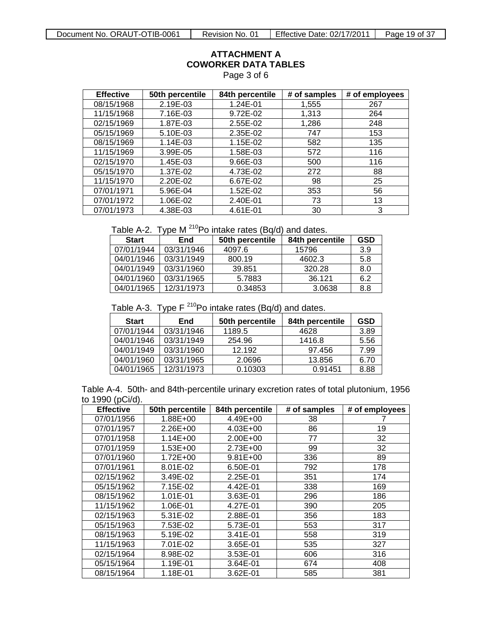| <b>Effective</b> | 50th percentile | 84th percentile | # of samples | # of employees |
|------------------|-----------------|-----------------|--------------|----------------|
| 08/15/1968       | 2.19E-03        | 1.24E-01        | 1,555        | 267            |
| 11/15/1968       | 7.16E-03        | 9.72E-02        | 1,313        | 264            |
| 02/15/1969       | 1.87E-03        | 2.55E-02        | 1,286        | 248            |
| 05/15/1969       | 5.10E-03        | 2.35E-02        | 747          | 153            |
| 08/15/1969       | 1.14E-03        | 1.15E-02        | 582          | 135            |
| 11/15/1969       | 3.99E-05        | 1.58E-03        | 572          | 116            |
| 02/15/1970       | 1.45E-03        | 9.66E-03        | 500          | 116            |
| 05/15/1970       | 1.37E-02        | 4.73E-02        | 272          | 88             |
| 11/15/1970       | 2.20E-02        | 6.67E-02        | 98           | 25             |
| 07/01/1971       | 5.96E-04        | 1.52E-02        | 353          | 56             |
| 07/01/1972       | 1.06E-02        | 2.40E-01        | 73           | 13             |
| 07/01/1973       | 4.38E-03        | 4.61E-01        | 30           | 3              |

Page 3 of 6

Table A-2. Type M  $^{210}$ Po intake rates (Bq/d) and dates.

| <b>Start</b> | End        | 50th percentile | 84th percentile | <b>GSD</b> |
|--------------|------------|-----------------|-----------------|------------|
| 07/01/1944   | 03/31/1946 | 4097.6          | 15796           | 3.9        |
| 04/01/1946   | 03/31/1949 | 800.19          | 4602.3          | 5.8        |
| 04/01/1949   | 03/31/1960 | 39.851          | 320.28          | 8.0        |
| 04/01/1960   | 03/31/1965 | 5.7883          | 36.121          | 6.2        |
| 04/01/1965   | 12/31/1973 | 0.34853         | 3.0638          | 8.8        |

Table A-3. Type  $F^{210}Po$  intake rates (Bq/d) and dates.

| <b>Start</b> | End        | 50th percentile | 84th percentile | <b>GSD</b> |
|--------------|------------|-----------------|-----------------|------------|
| 07/01/1944   | 03/31/1946 | 1189.5          | 4628            | 3.89       |
| 04/01/1946   | 03/31/1949 | 254.96          | 1416.8          | 5.56       |
| 04/01/1949   | 03/31/1960 | 12.192          | 97.456          | 7.99       |
| 04/01/1960   | 03/31/1965 | 2.0696          | 13.856          | 6.70       |
| 04/01/1965   | 12/31/1973 | 0.10303         | 0.91451         | 8.88       |

Table A-4. 50th- and 84th-percentile urinary excretion rates of total plutonium, 1956 to 1990 (pCi/d).

| <b>Effective</b> | 50th percentile | 84th percentile | # of samples | # of employees |
|------------------|-----------------|-----------------|--------------|----------------|
| 07/01/1956       | 1.88E+00        | 4.49E+00        | 38           |                |
| 07/01/1957       | 2.26E+00        | 4.03E+00        | 86           | 19             |
| 07/01/1958       | 1.14E+00        | $2.00E + 00$    | 77           | 32             |
| 07/01/1959       | 1.53E+00        | 2.73E+00        | 99           | 32             |
| 07/01/1960       | 1.72E+00        | $9.81E + 00$    | 336          | 89             |
| 07/01/1961       | 8.01E-02        | 6.50E-01        | 792          | 178            |
| 02/15/1962       | 3.49E-02        | 2.25E-01        | 351          | 174            |
| 05/15/1962       | 7.15E-02        | 4.42E-01        | 338          | 169            |
| 08/15/1962       | 1.01E-01        | 3.63E-01        | 296          | 186            |
| 11/15/1962       | 1.06E-01        | 4.27E-01        | 390          | 205            |
| 02/15/1963       | 5.31E-02        | 2.88E-01        | 356          | 183            |
| 05/15/1963       | 7.53E-02        | 5.73E-01        | 553          | 317            |
| 08/15/1963       | 5.19E-02        | 3.41E-01        | 558          | 319            |
| 11/15/1963       | 7.01E-02        | 3.65E-01        | 535          | 327            |
| 02/15/1964       | 8.98E-02        | 3.53E-01        | 606          | 316            |
| 05/15/1964       | 1.19E-01        | 3.64E-01        | 674          | 408            |
| 08/15/1964       | 1.18E-01        | 3.62E-01        | 585          | 381            |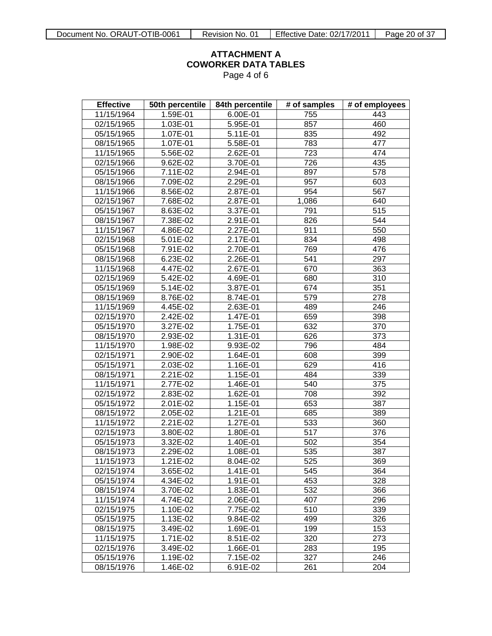Page 4 of 6

| <b>Effective</b> | 50th percentile | 84th percentile | # of samples     | # of employees |
|------------------|-----------------|-----------------|------------------|----------------|
| 11/15/1964       | 1.59E-01        | 6.00E-01        | 755              | 443            |
| 02/15/1965       | 1.03E-01        | 5.95E-01        | 857              | 460            |
| 05/15/1965       | 1.07E-01        | 5.11E-01        | 835              | 492            |
| 08/15/1965       | 1.07E-01        | 5.58E-01        | 783              | 477            |
| 11/15/1965       | 5.56E-02        | 2.62E-01        | 723              | 474            |
| 02/15/1966       | 9.62E-02        | 3.70E-01        | 726              | 435            |
| 05/15/1966       | 7.11E-02        | 2.94E-01        | 897              | 578            |
| 08/15/1966       | 7.09E-02        | 2.29E-01        | 957              | 603            |
| 11/15/1966       | 8.56E-02        | $2.87E-01$      | 954              | 567            |
| 02/15/1967       | 7.68E-02        | 2.87E-01        | 1,086            | 640            |
| 05/15/1967       | 8.63E-02        | 3.37E-01        | 791              | 515            |
| 08/15/1967       | 7.38E-02        | 2.91E-01        | 826              | 544            |
| 11/15/1967       | 4.86E-02        | 2.27E-01        | 911              | 550            |
| 02/15/1968       | 5.01E-02        | 2.17E-01        | 834              | 498            |
| 05/15/1968       | 7.91E-02        | 2.70E-01        | 769              | 476            |
| 08/15/1968       | 6.23E-02        | 2.26E-01        | 541              | 297            |
| 11/15/1968       | 4.47E-02        | 2.67E-01        | 670              | 363            |
| 02/15/1969       | 5.42E-02        | 4.69E-01        | 680              | 310            |
| 05/15/1969       | 5.14E-02        | 3.87E-01        | 674              | 351            |
| 08/15/1969       | 8.76E-02        | 8.74E-01        | 579              | 278            |
| 11/15/1969       | 4.45E-02        | 2.63E-01        | 489              | 246            |
| 02/15/1970       | 2.42E-02        | 1.47E-01        | 659              | 398            |
| 05/15/1970       | 3.27E-02        | 1.75E-01        | 632              | 370            |
| 08/15/1970       | 2.93E-02        | 1.31E-01        | 626              | 373            |
| 11/15/1970       | 1.98E-02        | 9.93E-02        | 796              | 484            |
| 02/15/1971       | 2.90E-02        | 1.64E-01        | 608              | 399            |
| 05/15/1971       | 2.03E-02        | 1.16E-01        | 629              | 416            |
| 08/15/1971       | 2.21E-02        | 1.15E-01        | 484              | 339            |
| 11/15/1971       | 2.77E-02        | 1.46E-01        | 540              | 375            |
| 02/15/1972       | 2.83E-02        | 1.62E-01        | 708              | 392            |
| 05/15/1972       | 2.01E-02        | 1.15E-01        | 653              | 387            |
| 08/15/1972       | 2.05E-02        | 1.21E-01        | 685              | 389            |
| 11/15/1972       | 2.21E-02        | 1.27E-01        | 533              | 360            |
| 02/15/1973       | 3.80E-02        | 1.80E-01        | 517              | 376            |
| 05/15/1973       | 3.32E-02        | 1.40E-01        | $\overline{502}$ | 354            |
| 08/15/1973       | 2.29E-02        | 1.08E-01        | 535              | 387            |
| 11/15/1973       | 1.21E-02        | 8.04E-02        | 525              | 369            |
| 02/15/1974       | 3.65E-02        | 1.41E-01        | 545              | 364            |
| 05/15/1974       | 4.34E-02        | 1.91E-01        | 453              | 328            |
| 08/15/1974       | 3.70E-02        | 1.83E-01        | 532              | 366            |
| 11/15/1974       | 4.74E-02        | 2.06E-01        | 407              | 296            |
| 02/15/1975       | 1.10E-02        | 7.75E-02        | 510              | 339            |
| 05/15/1975       | 1.13E-02        | 9.84E-02        | 499              | 326            |
| 08/15/1975       | 3.49E-02        | 1.69E-01        | 199              | 153            |
| 11/15/1975       | 1.71E-02        | 8.51E-02        | 320              | 273            |
| 02/15/1976       | 3.49E-02        | 1.66E-01        | 283              | 195            |
| 05/15/1976       | 1.19E-02        | 7.15E-02        | 327              | 246            |
| 08/15/1976       | 1.46E-02        | 6.91E-02        | 261              | 204            |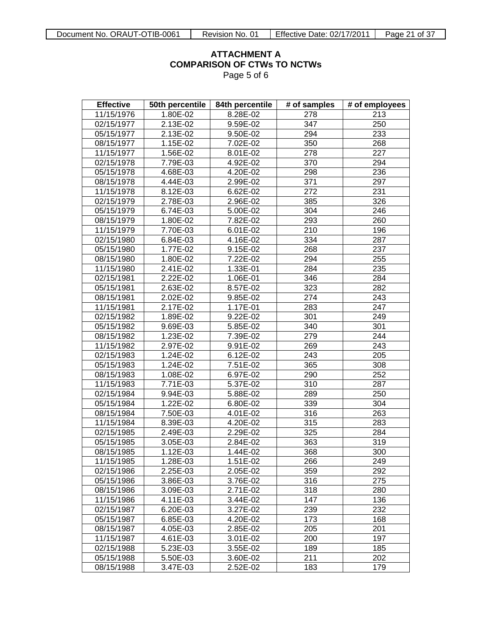# **ATTACHMENT A COMPARISON OF CTWs TO NCTWs**

Page 5 of 6

| <b>Effective</b> | 50th percentile | 84th percentile | # of samples | # of employees |
|------------------|-----------------|-----------------|--------------|----------------|
| 11/15/1976       | 1.80E-02        | 8.28E-02        | 278          | 213            |
| 02/15/1977       | 2.13E-02        | 9.59E-02        | 347          | 250            |
| 05/15/1977       | 2.13E-02        | 9.50E-02        | 294          | 233            |
| 08/15/1977       | 1.15E-02        | 7.02E-02        | 350          | 268            |
| 11/15/1977       | 1.56E-02        | 8.01E-02        | 278          | 227            |
| 02/15/1978       | 7.79E-03        | 4.92E-02        | 370          | 294            |
| 05/15/1978       | 4.68E-03        | 4.20E-02        | 298          | 236            |
| 08/15/1978       | 4.44E-03        | 2.99E-02        | 371          | 297            |
| 11/15/1978       | $8.12E-03$      | 6.62E-02        | 272          | 231            |
| 02/15/1979       | 2.78E-03        | 2.96E-02        | 385          | 326            |
| 05/15/1979       | 6.74E-03        | 5.00E-02        | 304          | 246            |
| 08/15/1979       | 1.80E-02        | 7.82E-02        | 293          | 260            |
| 11/15/1979       | 7.70E-03        | 6.01E-02        | 210          | 196            |
| 02/15/1980       | 6.84E-03        | 4.16E-02        | 334          | 287            |
| 05/15/1980       | 1.77E-02        | 9.15E-02        | 268          | 237            |
| 08/15/1980       | 1.80E-02        | 7.22E-02        | 294          | 255            |
| 11/15/1980       | 2.41E-02        | 1.33E-01        | 284          | 235            |
| 02/15/1981       | 2.22E-02        | 1.06E-01        | 346          | 284            |
| 05/15/1981       | 2.63E-02        | 8.57E-02        | 323          | 282            |
| 08/15/1981       | 2.02E-02        | 9.85E-02        | 274          | 243            |
| 11/15/1981       | 2.17E-02        | 1.17E-01        | 283          | 247            |
| 02/15/1982       | 1.89E-02        | 9.22E-02        | 301          | 249            |
| 05/15/1982       | 9.69E-03        | 5.85E-02        | 340          | 301            |
| 08/15/1982       | 1.23E-02        | 7.39E-02        | 279          | 244            |
| 11/15/1982       | 2.97E-02        | 9.91E-02        | 269          | 243            |
| 02/15/1983       | 1.24E-02        | 6.12E-02        | 243          | 205            |
| 05/15/1983       | 1.24E-02        | 7.51E-02        | 365          | 308            |
| 08/15/1983       | 1.08E-02        | 6.97E-02        | 290          | 252            |
| 11/15/1983       | 7.71E-03        | 5.37E-02        | 310          | 287            |
| 02/15/1984       | 9.94E-03        | 5.88E-02        | 289          | 250            |
| 05/15/1984       | 1.22E-02        | 6.80E-02        | 339          | 304            |
| 08/15/1984       | 7.50E-03        | 4.01E-02        | 316          | 263            |
| 11/15/1984       | 8.39E-03        | 4.20E-02        | 315          | 283            |
| 02/15/1985       | 2.49E-03        | 2.29E-02        | 325          | 284            |
| 05/15/1985       | 3.05E-03        | 2.84E-02        | 363          | 319            |
| 08/15/1985       | $1.12E-03$      | 1.44E-02        | 368          | 300            |
| 11/15/1985       | 1.28E-03        | 1.51E-02        | 266          | 249            |
| 02/15/1986       | 2.25E-03        | 2.05E-02        | 359          | 292            |
| 05/15/1986       | 3.86E-03        | 3.76E-02        | 316          | 275            |
| 08/15/1986       | 3.09E-03        | 2.71E-02        | 318          | 280            |
| 11/15/1986       | 4.11E-03        | 3.44E-02        | 147          | 136            |
| 02/15/1987       | 6.20E-03        | 3.27E-02        | 239          | 232            |
| 05/15/1987       | 6.85E-03        | 4.20E-02        | 173          | 168            |
| 08/15/1987       | 4.05E-03        | 2.85E-02        | 205          | 201            |
| 11/15/1987       | 4.61E-03        | 3.01E-02        | 200          | 197            |
| 02/15/1988       | 5.23E-03        | 3.55E-02        | 189          | 185            |
| 05/15/1988       | 5.50E-03        | 3.60E-02        | 211          | 202            |
| 08/15/1988       | 3.47E-03        | 2.52E-02        | 183          | 179            |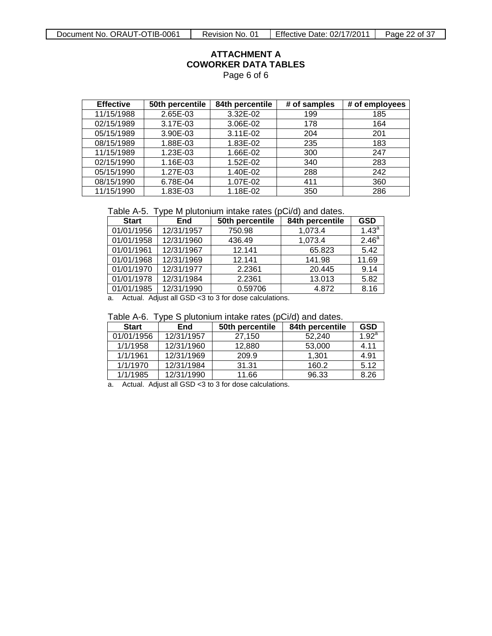Page 6 of 6

| <b>Effective</b> | 50th percentile | 84th percentile | # of samples | # of employees |
|------------------|-----------------|-----------------|--------------|----------------|
| 11/15/1988       | 2.65E-03        | 3.32E-02        | 199          | 185            |
| 02/15/1989       | 3.17E-03        | 3.06E-02        | 178          | 164            |
| 05/15/1989       | 3.90E-03        | 3.11E-02        | 204          | 201            |
| 08/15/1989       | 1.88E-03        | 1.83E-02        | 235          | 183            |
| 11/15/1989       | 1.23E-03        | 1.66E-02        | 300          | 247            |
| 02/15/1990       | 1.16E-03        | 1.52E-02        | 340          | 283            |
| 05/15/1990       | 1.27E-03        | 1.40E-02        | 288          | 242            |
| 08/15/1990       | 6.78E-04        | 1.07E-02        | 411          | 360            |
| 11/15/1990       | 1.83E-03        | 1.18E-02        | 350          | 286            |

### Table A-5. Type M plutonium intake rates (pCi/d) and dates.

| <b>Start</b> | End        | 50th percentile | 84th percentile | <b>GSD</b>        |
|--------------|------------|-----------------|-----------------|-------------------|
| 01/01/1956   | 12/31/1957 | 750.98          | 1,073.4         | $1.43^{a}$        |
| 01/01/1958   | 12/31/1960 | 436.49          | 1,073.4         | 2.46 <sup>a</sup> |
| 01/01/1961   | 12/31/1967 | 12.141          | 65.823          | 5.42              |
| 01/01/1968   | 12/31/1969 | 12.141          | 141.98          | 11.69             |
| 01/01/1970   | 12/31/1977 | 2.2361          | 20.445          | 9.14              |
| 01/01/1978   | 12/31/1984 | 2.2361          | 13.013          | 5.82              |
| 01/01/1985   | 12/31/1990 | 0.59706         | 4.872           | 8.16              |

a. Actual. Adjust all GSD <3 to 3 for dose calculations.

|  |  |  | Table A-6. Type S plutonium intake rates (pCi/d) and dates. |  |  |
|--|--|--|-------------------------------------------------------------|--|--|
|--|--|--|-------------------------------------------------------------|--|--|

| <b>Start</b> | . .<br>End | 50th percentile | 84th percentile | <b>GSD</b>     |
|--------------|------------|-----------------|-----------------|----------------|
| 01/01/1956   | 12/31/1957 | 27,150          | 52.240          | $1.92^{\circ}$ |
| 1/1/1958     | 12/31/1960 | 12,880          | 53,000          | 4.11           |
| 1/1/1961     | 12/31/1969 | 209.9           | 1.301           | 4.91           |
| 1/1/1970     | 12/31/1984 | 31.31           | 160.2           | 5.12           |
| 1/1/1985     | 12/31/1990 | 11.66           | 96.33           | 8.26           |

a. Actual. Adjust all GSD <3 to 3 for dose calculations.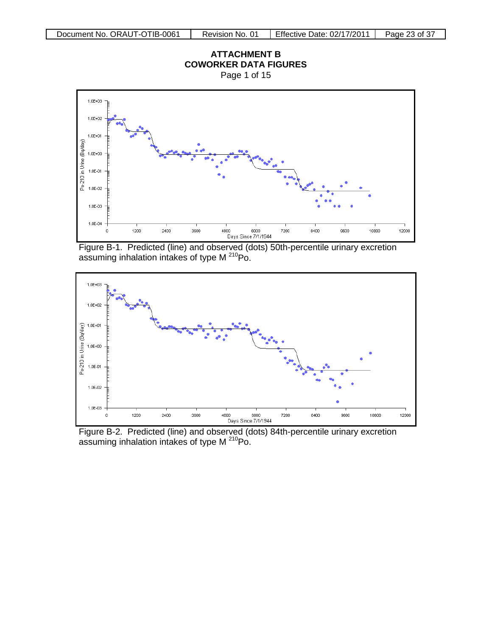<span id="page-22-0"></span>Page 1 of 15



Figure B-1. Predicted (line) and observed (dots) 50th-percentile urinary excretion assuming inhalation intakes of type M <sup>210</sup>Po.



Figure B-2. Predicted (line) and observed (dots) 84th-percentile urinary excretion assuming inhalation intakes of type M<sup>210</sup>Po.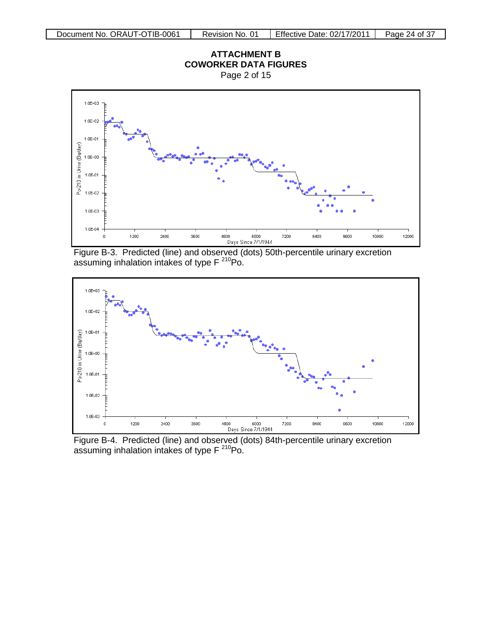Page 2 of 15



Figure B-3. Predicted (line) and observed (dots) 50th-percentile urinary excretion assuming inhalation intakes of type  $F^{210}$ Po.



Figure B-4. Predicted (line) and observed (dots) 84th-percentile urinary excretion assuming inhalation intakes of type  $F^{210}$ Po.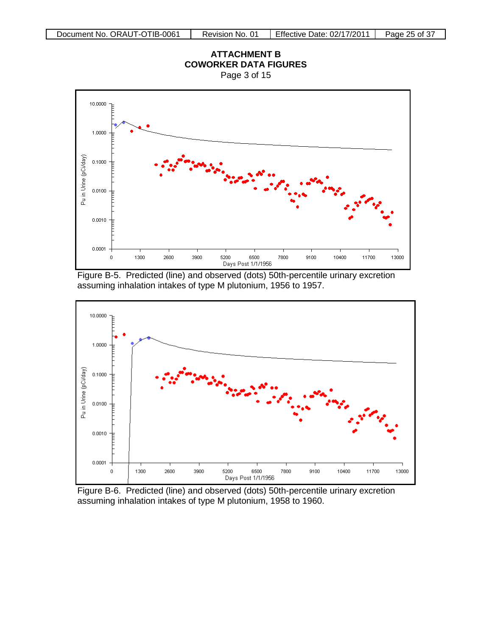





Figure B-6. Predicted (line) and observed (dots) 50th-percentile urinary excretion assuming inhalation intakes of type M plutonium, 1958 to 1960.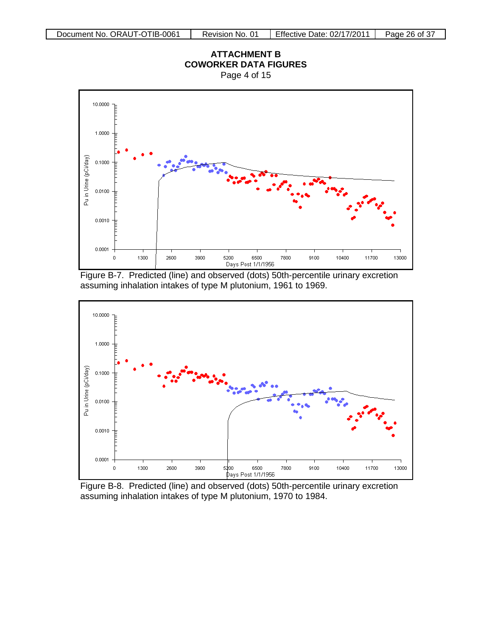









Figure B-8. Predicted (line) and observed (dots) 50th-percentile urinary excretion assuming inhalation intakes of type M plutonium, 1970 to 1984.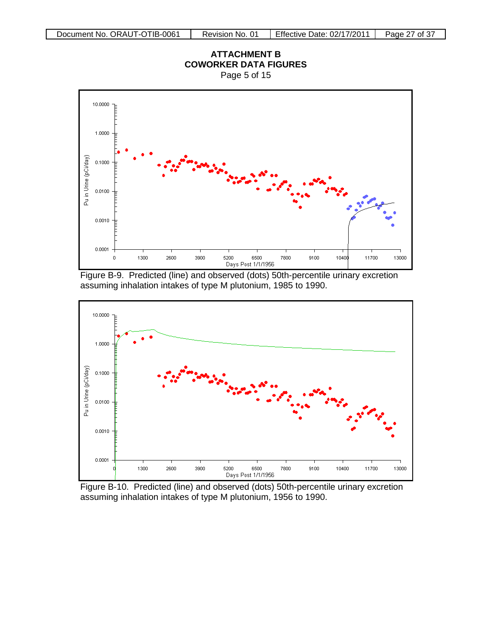





Figure B-9. Predicted (line) and observed (dots) 50th-percentile urinary excretion assuming inhalation intakes of type M plutonium, 1985 to 1990.



Figure B-10. Predicted (line) and observed (dots) 50th-percentile urinary excretion assuming inhalation intakes of type M plutonium, 1956 to 1990.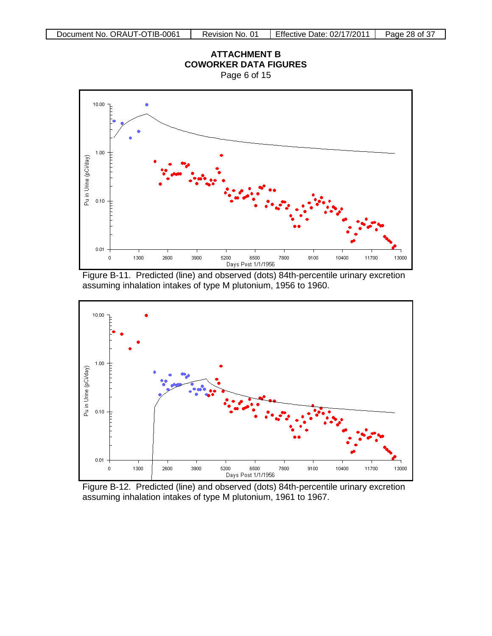Page 6 of 15



Figure B-11. Predicted (line) and observed (dots) 84th-percentile urinary excretion assuming inhalation intakes of type M plutonium, 1956 to 1960.



Figure B-12. Predicted (line) and observed (dots) 84th-percentile urinary excretion assuming inhalation intakes of type M plutonium, 1961 to 1967.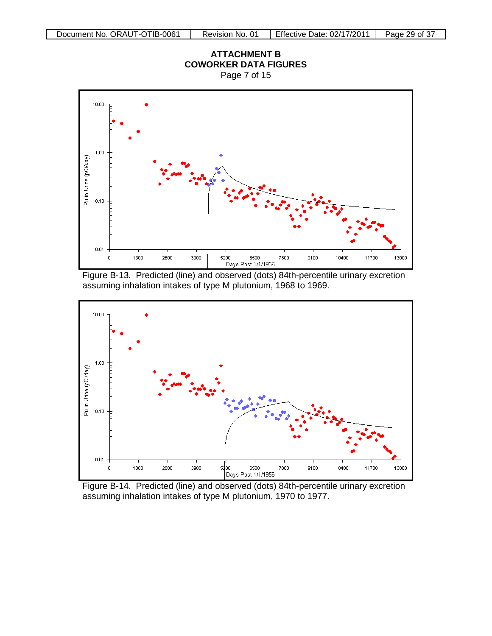Page 7 of 15







Figure B-14. Predicted (line) and observed (dots) 84th-percentile urinary excretion assuming inhalation intakes of type M plutonium, 1970 to 1977.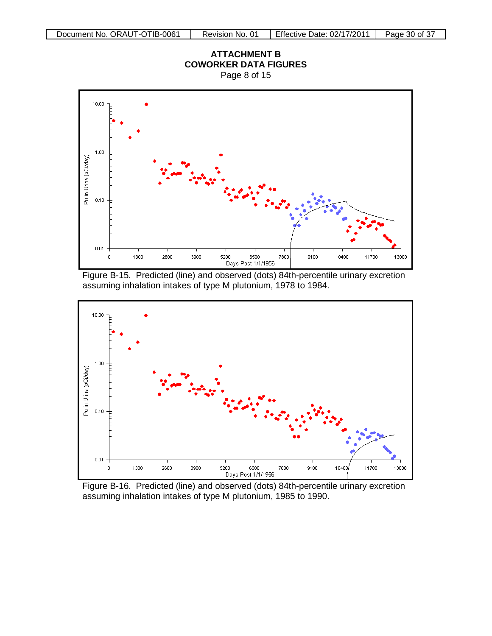Page 8 of 15



Figure B-15. Predicted (line) and observed (dots) 84th-percentile urinary excretion assuming inhalation intakes of type M plutonium, 1978 to 1984.



Figure B-16. Predicted (line) and observed (dots) 84th-percentile urinary excretion assuming inhalation intakes of type M plutonium, 1985 to 1990.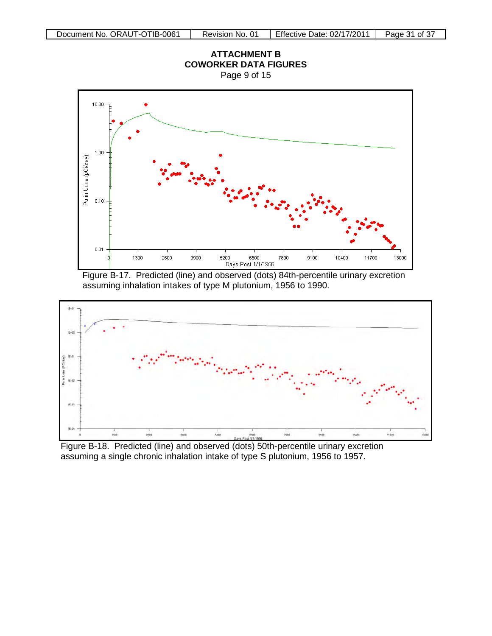

Figure B-17. Predicted (line) and observed (dots) 84th-percentile urinary excretion assuming inhalation intakes of type M plutonium, 1956 to 1990.



Figure B-18. Predicted (line) and observed (dots) 50th-percentile urinary excretion assuming a single chronic inhalation intake of type S plutonium, 1956 to 1957.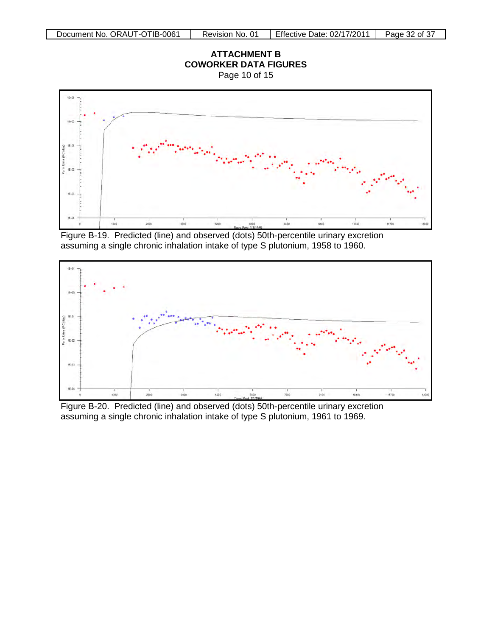Page 10 of 15



Figure B-19. Predicted (line) and observed (dots) 50th-percentile urinary excretion assuming a single chronic inhalation intake of type S plutonium, 1958 to 1960.



Figure B-20. Predicted (line) and observed (dots) 50th-percentile urinary excretion assuming a single chronic inhalation intake of type S plutonium, 1961 to 1969.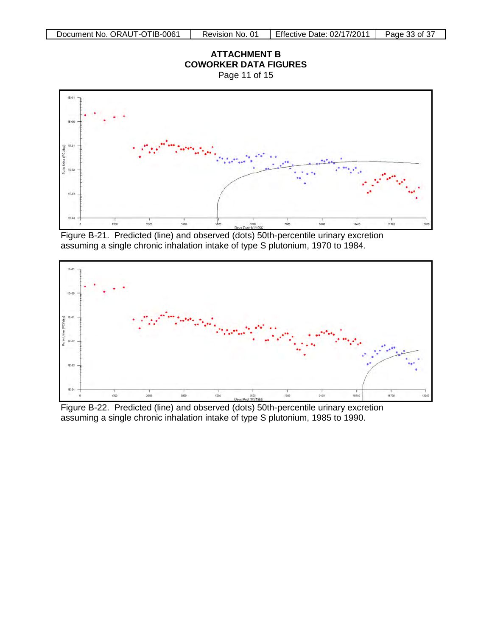Page 11 of 15



Figure B-21. Predicted (line) and observed (dots) 50th-percentile urinary excretion assuming a single chronic inhalation intake of type S plutonium, 1970 to 1984.



Figure B-22. Predicted (line) and observed (dots) 50th-percentile urinary excretion assuming a single chronic inhalation intake of type S plutonium, 1985 to 1990.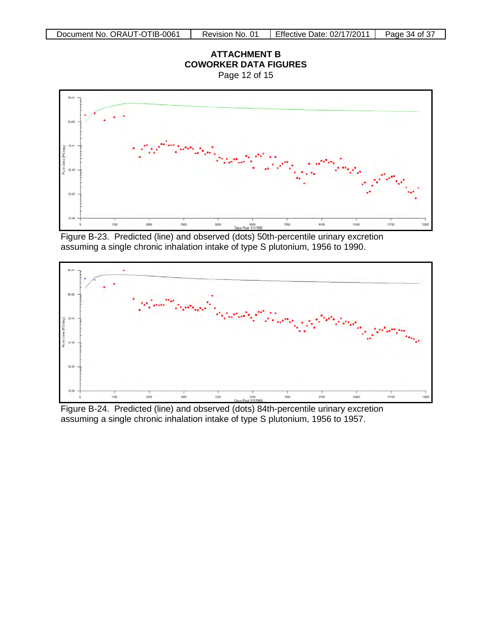



Figure B-23. Predicted (line) and observed (dots) 50th-percentile urinary excretion assuming a single chronic inhalation intake of type S plutonium, 1956 to 1990.



Figure B-24. Predicted (line) and observed (dots) 84th-percentile urinary excretion assuming a single chronic inhalation intake of type S plutonium, 1956 to 1957.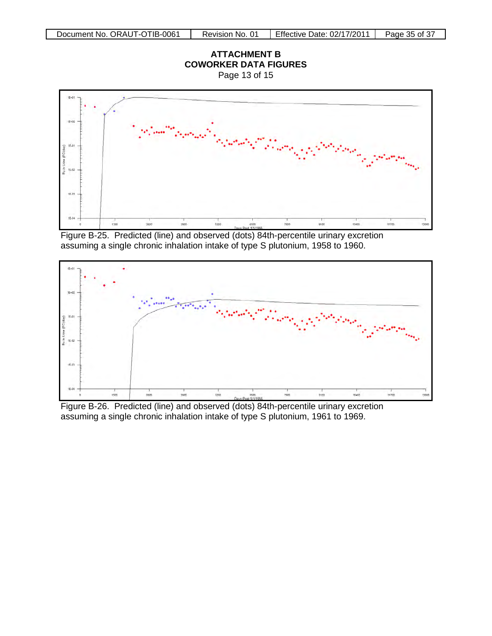

Figure B-25. Predicted (line) and observed (dots) 84th-percentile urinary excretion assuming a single chronic inhalation intake of type S plutonium, 1958 to 1960.



Figure B-26. Predicted (line) and observed (dots) 84th-percentile urinary excretion assuming a single chronic inhalation intake of type S plutonium, 1961 to 1969.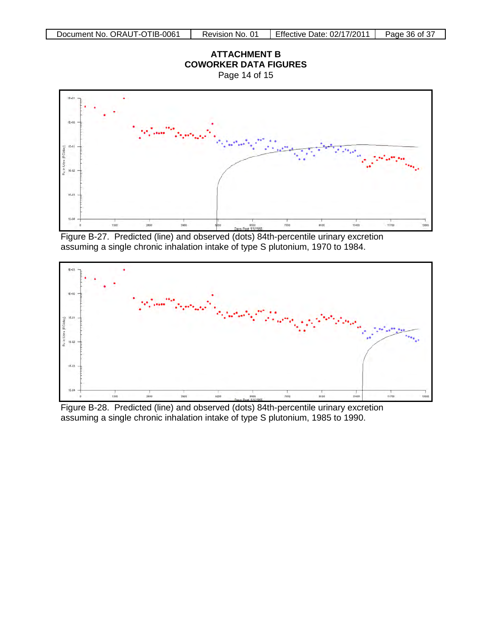

Page 14 of 15



Figure B-27. Predicted (line) and observed (dots) 84th-percentile urinary excretion assuming a single chronic inhalation intake of type S plutonium, 1970 to 1984.



Figure B-28. Predicted (line) and observed (dots) 84th-percentile urinary excretion assuming a single chronic inhalation intake of type S plutonium, 1985 to 1990.